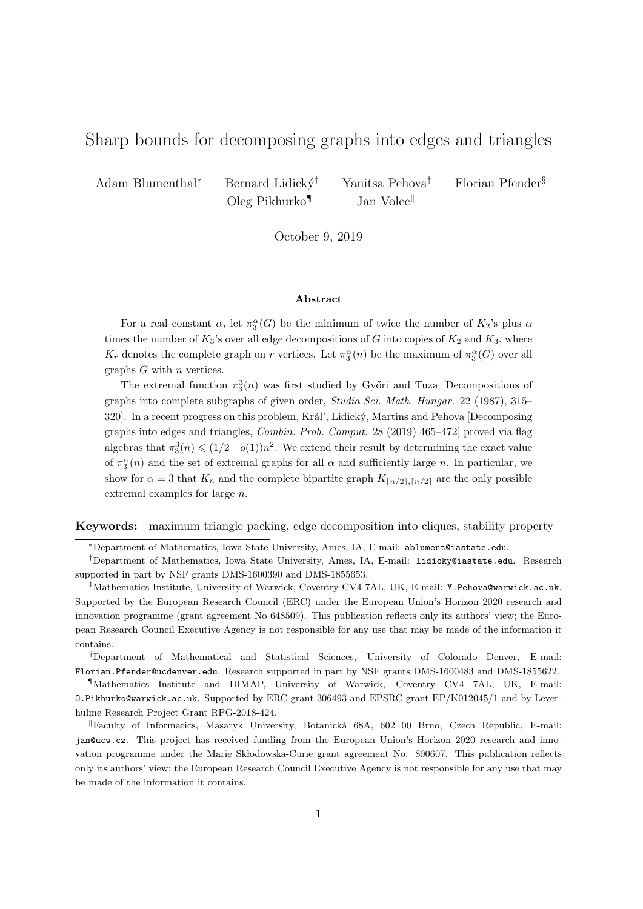# Sharp bounds for decomposing graphs into edges and triangles

Adam Blumenthal<sup>∗</sup> Bernard Lidický<sup>†</sup> Yanitsa Pehova<sup>‡</sup> Florian Pfender<sup>§</sup>

Oleg Pikhurko<sup>¶</sup> Jan Volec<sup>||</sup>

October 9, 2019

#### Abstract

For a real constant  $\alpha$ , let  $\pi_3^{\alpha}(G)$  be the minimum of twice the number of  $K_2$ 's plus  $\alpha$ times the number of  $K_3$ 's over all edge decompositions of G into copies of  $K_2$  and  $K_3$ , where  $K_r$  denotes the complete graph on r vertices. Let  $\pi_3^{\alpha}(n)$  be the maximum of  $\pi_3^{\alpha}(G)$  over all graphs  $G$  with  $n$  vertices.

The extremal function  $\pi_3^3(n)$  was first studied by Győri and Tuza [Decompositions of graphs into complete subgraphs of given order, Studia Sci. Math. Hungar. 22 (1987), 315– 320]. In a recent progress on this problem, Král', Lidický, Martins and Pehova [Decomposing graphs into edges and triangles, Combin. Prob. Comput. 28 (2019) 465–472] proved via flag algebras that  $\pi_3^3(n) \leq (1/2+o(1))n^2$ . We extend their result by determining the exact value of  $\pi_3^{\alpha}(n)$  and the set of extremal graphs for all  $\alpha$  and sufficiently large n. In particular, we show for  $\alpha = 3$  that  $K_n$  and the complete bipartite graph  $K_{\lfloor n/2 \rfloor,\lceil n/2 \rceil}$  are the only possible extremal examples for large n.

Keywords: maximum triangle packing, edge decomposition into cliques, stability property

<sup>∗</sup>Department of Mathematics, Iowa State University, Ames, IA, E-mail: ablument@iastate.edu.

§Department of Mathematical and Statistical Sciences, University of Colorado Denver, E-mail: Florian.Pfender@ucdenver.edu. Research supported in part by NSF grants DMS-1600483 and DMS-1855622.

¶Mathematics Institute and DIMAP, University of Warwick, Coventry CV4 7AL, UK, E-mail: O.Pikhurko@warwick.ac.uk. Supported by ERC grant 306493 and EPSRC grant EP/K012045/1 and by Leverhulme Research Project Grant RPG-2018-424.

<sup>II</sup> Faculty of Informatics, Masaryk University, Botanická 68A, 602 00 Brno, Czech Republic, E-mail: jan@ucw.cz. This project has received funding from the European Union's Horizon 2020 research and innovation programme under the Marie Skłodowska-Curie grant agreement No. 800607. This publication reflects only its authors' view; the European Research Council Executive Agency is not responsible for any use that may be made of the information it contains.

<sup>†</sup>Department of Mathematics, Iowa State University, Ames, IA, E-mail: lidicky@iastate.edu. Research supported in part by NSF grants DMS-1600390 and DMS-1855653.

 $^{\ddagger}$ Mathematics Institute, University of Warwick, Coventry CV4 7AL, UK, E-mail: Y.Pehova@warwick.ac.uk. Supported by the European Research Council (ERC) under the European Union's Horizon 2020 research and innovation programme (grant agreement No 648509). This publication reflects only its authors' view; the European Research Council Executive Agency is not responsible for any use that may be made of the information it contains.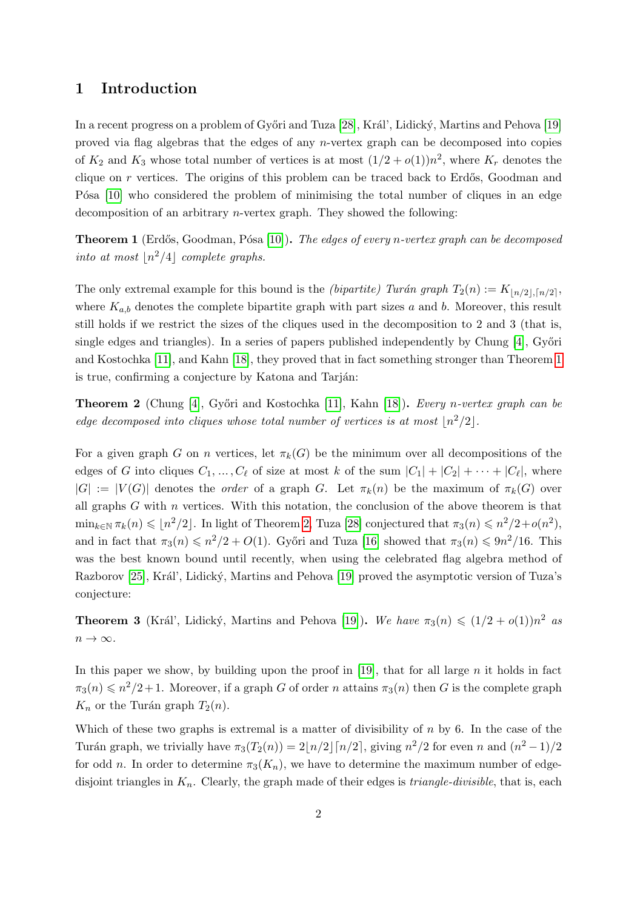## 1 Introduction

In a recent progress on a problem of Győri and Tuza [\[28\]](#page-19-0), Král', Lidický, Martins and Pehova [\[19\]](#page-19-1) proved via flag algebras that the edges of any n-vertex graph can be decomposed into copies of  $K_2$  and  $K_3$  whose total number of vertices is at most  $(1/2 + o(1))n^2$ , where  $K_r$  denotes the clique on  $r$  vertices. The origins of this problem can be traced back to Erdős, Goodman and P<sup>osa</sup> [\[10\]](#page-18-0) who considered the problem of minimising the total number of cliques in an edge decomposition of an arbitrary n-vertex graph. They showed the following:

<span id="page-1-0"></span>**Theorem 1** (Erdős, Goodman, Pósa [\[10\]](#page-18-0)). The edges of every n-vertex graph can be decomposed into at most  $\lfloor n^2/4\rfloor$  complete graphs.

The only extremal example for this bound is the *(bipartite)* Turán graph  $T_2(n) := K_{\lfloor n/2 \rfloor, \lceil n/2 \rceil}$ , where  $K_{a,b}$  denotes the complete bipartite graph with part sizes a and b. Moreover, this result still holds if we restrict the sizes of the cliques used in the decomposition to 2 and 3 (that is, single edges and triangles). In a series of papers published independently by Chung  $[4]$ , Győri and Kostochka [\[11\]](#page-18-2), and Kahn [\[18\]](#page-18-3), they proved that in fact something stronger than Theorem [1](#page-1-0) is true, confirming a conjecture by Katona and Tarján:

<span id="page-1-1"></span>Theorem 2 (Chung [\[4\]](#page-18-1), Győri and Kostochka [\[11\]](#page-18-2), Kahn [\[18\]](#page-18-3)). Every n-vertex graph can be edge decomposed into cliques whose total number of vertices is at most  $\lfloor n^2/2 \rfloor$ .

For a given graph G on n vertices, let  $\pi_k(G)$  be the minimum over all decompositions of the edges of G into cliques  $C_1, \ldots, C_\ell$  of size at most k of the sum  $|C_1| + |C_2| + \cdots + |C_\ell|$ , where  $|G| := |V(G)|$  denotes the *order* of a graph G. Let  $\pi_k(n)$  be the maximum of  $\pi_k(G)$  over all graphs  $G$  with  $n$  vertices. With this notation, the conclusion of the above theorem is that  $\min_{k \in \mathbb{N}} \pi_k(n) \leqslant \lfloor n^2/2 \rfloor$ . In light of Theorem [2,](#page-1-1) Tuza [\[28\]](#page-19-0) conjectured that  $\pi_3(n) \leqslant n^2/2 + o(n^2)$ , and in fact that  $\pi_3(n) \leq n^2/2 + O(1)$ . Győri and Tuza [\[16\]](#page-18-4) showed that  $\pi_3(n) \leq 9n^2/16$ . This was the best known bound until recently, when using the celebrated flag algebra method of Razborov [\[25\]](#page-19-2), Král', Lidický, Martins and Pehova [\[19\]](#page-19-1) proved the asymptotic version of Tuza's conjecture:

<span id="page-1-2"></span>**Theorem 3** (Král', Lidický, Martins and Pehova [\[19\]](#page-19-1)). We have  $\pi_3(n) \leq (1/2 + o(1))n^2$  as  $n \to \infty$ .

In this paper we show, by building upon the proof in  $[19]$ , that for all large  $n$  it holds in fact  $\pi_3(n) \leq n^2/2+1$ . Moreover, if a graph G of order n attains  $\pi_3(n)$  then G is the complete graph  $K_n$  or the Turán graph  $T_2(n)$ .

Which of these two graphs is extremal is a matter of divisibility of  $n$  by 6. In the case of the Turán graph, we trivially have  $\pi_3(T_2(n)) = 2\lfloor n/2\rfloor \lceil n/2\rceil$ , giving  $n^2/2$  for even n and  $(n^2-1)/2$ for odd n. In order to determine  $\pi_3(K_n)$ , we have to determine the maximum number of edgedisjoint triangles in  $K_n$ . Clearly, the graph made of their edges is *triangle-divisible*, that is, each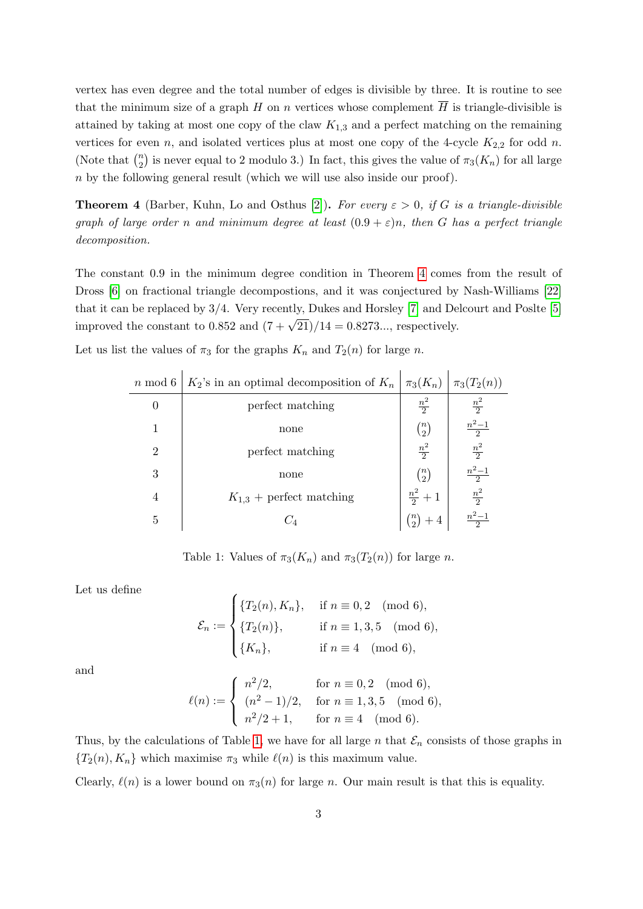vertex has even degree and the total number of edges is divisible by three. It is routine to see that the minimum size of a graph H on n vertices whose complement  $\overline{H}$  is triangle-divisible is attained by taking at most one copy of the claw  $K_{1,3}$  and a perfect matching on the remaining vertices for even n, and isolated vertices plus at most one copy of the 4-cycle  $K_{2,2}$  for odd n. (Note that  $\binom{n}{2}$  $n_2$ ) is never equal to 2 modulo 3.) In fact, this gives the value of  $\pi_3(K_n)$  for all large n by the following general result (which we will use also inside our proof).

<span id="page-2-0"></span>**Theorem 4** (Barber, Kuhn, Lo and Osthus [\[2\]](#page-18-5)). For every  $\varepsilon > 0$ , if G is a triangle-divisible graph of large order n and minimum degree at least  $(0.9 + \varepsilon)n$ , then G has a perfect triangle decomposition.

The constant 0.9 in the minimum degree condition in Theorem [4](#page-2-0) comes from the result of Dross [\[6\]](#page-18-6) on fractional triangle decompostions, and it was conjectured by Nash-Williams [\[22\]](#page-19-3) that it can be replaced by 3/4. Very recently, Dukes and Horsley [\[7\]](#page-18-7) and Delcourt and Poslte [\[5\]](#page-18-8) improved the constant to 0.852 and  $(7 + \sqrt{21})/14 = 0.8273...$ , respectively.

<span id="page-2-1"></span>Let us list the values of  $\pi_3$  for the graphs  $K_n$  and  $T_2(n)$  for large n.

| $n \mod 6$     | $K_2$ 's in an optimal decomposition of $K_n   \pi_3(K_n)   \pi_3(T_2(n))$ |                 |                                   |
|----------------|----------------------------------------------------------------------------|-----------------|-----------------------------------|
| 0              | perfect matching                                                           | $\frac{n^2}{2}$ | $\frac{n^2}{2}$                   |
| 1              | none                                                                       | $\binom{n}{2}$  | $\frac{n^2-1}{2}$                 |
| $\overline{2}$ | perfect matching                                                           | $\frac{n^2}{2}$ | $\frac{n^2}{2}$                   |
| 3              | none                                                                       | $\binom{n}{2}$  | $\frac{n^2-1}{2}$ $\frac{n^2}{2}$ |
| 4              | $K_{1,3}$ + perfect matching                                               | $rac{n^2}{2}+1$ |                                   |
| 5              | $\mathcal{L}_A$                                                            |                 | $n^2-1$                           |

Table 1: Values of  $\pi_3(K_n)$  and  $\pi_3(T_2(n))$  for large n.

Let us define

$$
\mathcal{E}_n := \begin{cases} \{T_2(n), K_n\}, & \text{if } n \equiv 0, 2 \pmod{6}, \\ \{T_2(n)\}, & \text{if } n \equiv 1, 3, 5 \pmod{6}, \\ \{K_n\}, & \text{if } n \equiv 4 \pmod{6}, \end{cases}
$$

and

$$
\ell(n) := \begin{cases} n^2/2, & \text{for } n \equiv 0, 2 \pmod{6}, \\ (n^2 - 1)/2, & \text{for } n \equiv 1, 3, 5 \pmod{6}, \\ n^2/2 + 1, & \text{for } n \equiv 4 \pmod{6}. \end{cases}
$$

Thus, by the calculations of Table [1,](#page-2-1) we have for all large n that  $\mathcal{E}_n$  consists of those graphs in  ${T_2(n), K_n}$  which maximise  $\pi_3$  while  $\ell(n)$  is this maximum value.

Clearly,  $\ell(n)$  is a lower bound on  $\pi_3(n)$  for large n. Our main result is that this is equality.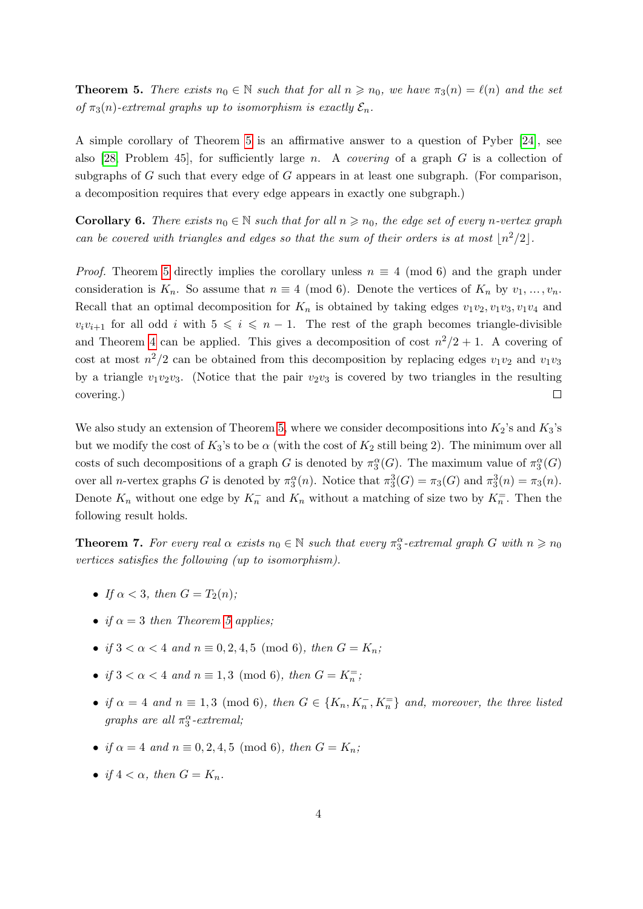<span id="page-3-0"></span>**Theorem 5.** There exists  $n_0 \in \mathbb{N}$  such that for all  $n \geq n_0$ , we have  $\pi_3(n) = \ell(n)$  and the set of  $\pi_3(n)$ -extremal graphs up to isomorphism is exactly  $\mathcal{E}_n$ .

A simple corollary of Theorem [5](#page-3-0) is an affirmative answer to a question of Pyber [\[24\]](#page-19-4), see also [\[28,](#page-19-0) Problem 45], for sufficiently large n. A *covering* of a graph  $G$  is a collection of subgraphs of G such that every edge of G appears in at least one subgraph. (For comparison, a decomposition requires that every edge appears in exactly one subgraph.)

**Corollary 6.** There exists  $n_0 \in \mathbb{N}$  such that for all  $n \geq n_0$ , the edge set of every n-vertex graph can be covered with triangles and edges so that the sum of their orders is at most  $\lfloor n^2/2 \rfloor$ .

*Proof.* Theorem [5](#page-3-0) directly implies the corollary unless  $n \equiv 4 \pmod{6}$  and the graph under consideration is  $K_n$ . So assume that  $n \equiv 4 \pmod{6}$ . Denote the vertices of  $K_n$  by  $v_1, \ldots, v_n$ . Recall that an optimal decomposition for  $K_n$  is obtained by taking edges  $v_1v_2, v_1v_3, v_1v_4$  and  $v_i v_{i+1}$  for all odd i with  $5 \leq i \leq n-1$ . The rest of the graph becomes triangle-divisible and Theorem [4](#page-2-0) can be applied. This gives a decomposition of cost  $n^2/2 + 1$ . A covering of cost at most  $n^2/2$  can be obtained from this decomposition by replacing edges  $v_1v_2$  and  $v_1v_3$ by a triangle  $v_1v_2v_3$ . (Notice that the pair  $v_2v_3$  is covered by two triangles in the resulting covering.)  $\Box$ 

We also study an extension of Theorem [5,](#page-3-0) where we consider decompositions into  $K_2$ 's and  $K_3$ 's but we modify the cost of  $K_3$ 's to be  $\alpha$  (with the cost of  $K_2$  still being 2). The minimum over all costs of such decompositions of a graph G is denoted by  $\pi_3^{\alpha}(G)$ . The maximum value of  $\pi_3^{\alpha}(G)$ over all *n*-vertex graphs G is denoted by  $\pi_3^{\alpha}(n)$ . Notice that  $\pi_3^3(G) = \pi_3(G)$  and  $\pi_3^3(n) = \pi_3(n)$ . Denote  $K_n$  without one edge by  $K_n^-$  and  $K_n$  without a matching of size two by  $K_n^-$ . Then the following result holds.

<span id="page-3-1"></span>**Theorem 7.** For every real  $\alpha$  exists  $n_0 \in \mathbb{N}$  such that every  $\pi_3^{\alpha}$ -extremal graph G with  $n \geq n_0$ vertices satisfies the following (up to isomorphism).

- If  $\alpha < 3$ , then  $G = T_2(n)$ ;
- if  $\alpha = 3$  then Theorem [5](#page-3-0) applies;
- if  $3 < \alpha < 4$  and  $n \equiv 0, 2, 4, 5 \pmod{6}$ , then  $G = K_n$ ;
- if  $3 < \alpha < 4$  and  $n \equiv 1, 3 \pmod{6}$ , then  $G = K_n^=$ ;
- if  $\alpha = 4$  and  $n \equiv 1, 3 \pmod{6}$ , then  $G \in \{K_n, K_n^-, K_n^-\}$  and, moreover, the three listed graphs are all  $\pi_3^{\alpha}$ -extremal;
- if  $\alpha = 4$  and  $n \equiv 0, 2, 4, 5 \pmod{6}$ , then  $G = K_n$ ;
- if  $4 < \alpha$ , then  $G = K_n$ .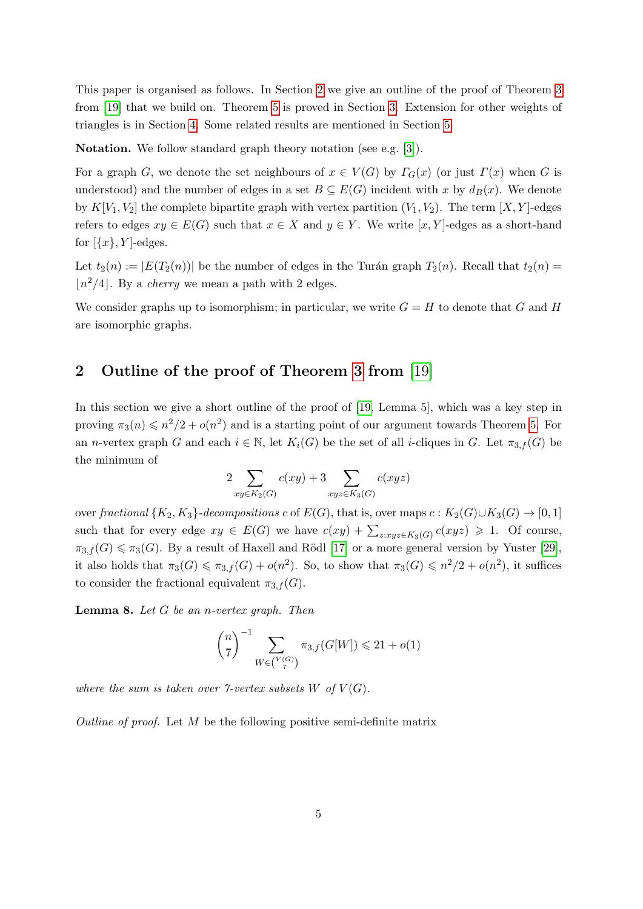This paper is organised as follows. In Section [2](#page-4-0) we give an outline of the proof of Theorem [3](#page-1-2) from [\[19\]](#page-19-1) that we build on. Theorem [5](#page-3-0) is proved in Section [3.](#page-5-0) Extension for other weights of triangles is in Section [4.](#page-14-0) Some related results are mentioned in Section [5.](#page-16-0)

Notation. We follow standard graph theory notation (see e.g. [\[3\]](#page-18-9)).

For a graph G, we denote the set neighbours of  $x \in V(G)$  by  $\Gamma_G(x)$  (or just  $\Gamma(x)$  when G is understood) and the number of edges in a set  $B \subseteq E(G)$  incident with x by  $d_B(x)$ . We denote by  $K[V_1, V_2]$  the complete bipartite graph with vertex partition  $(V_1, V_2)$ . The term  $[X, Y]$ -edges refers to edges  $xy \in E(G)$  such that  $x \in X$  and  $y \in Y$ . We write [x, Y]-edges as a short-hand for  $[\{x\}, Y]$ -edges.

Let  $t_2(n) := |E(T_2(n))|$  be the number of edges in the Turán graph  $T_2(n)$ . Recall that  $t_2(n) =$  $n^2/4$ . By a *cherry* we mean a path with 2 edges.

We consider graphs up to isomorphism; in particular, we write  $G = H$  to denote that G and H are isomorphic graphs.

## <span id="page-4-0"></span>2 Outline of the proof of Theorem [3](#page-1-2) from [\[19\]](#page-19-1)

In this section we give a short outline of the proof of [\[19,](#page-19-1) Lemma 5], which was a key step in proving  $\pi_3(n) \leq n^2/2 + o(n^2)$  and is a starting point of our argument towards Theorem [5.](#page-3-0) For an *n*-vertex graph G and each  $i \in \mathbb{N}$ , let  $K_i(G)$  be the set of all *i*-cliques in G. Let  $\pi_{3,f}(G)$  be the minimum of

$$
2\sum_{xy \in K_2(G)} c(xy) + 3\sum_{xyz \in K_3(G)} c(xyz)
$$

over fractional  $\{K_2, K_3\}$ -decompositions c of  $E(G)$ , that is, over maps  $c: K_2(G) \cup K_3(G) \rightarrow [0, 1]$ such that for every edge  $xy \in E(G)$  we have  $c(xy) + \sum_{z:xyz \in K_3(G)} c(xyz) \geq 1$ . Of course,  $\pi_{3,f}(G) \leq \pi_3(G)$ . By a result of Haxell and Rödl [\[17\]](#page-18-10) or a more general version by Yuster [\[29\]](#page-19-5), it also holds that  $\pi_3(G) \leq \pi_{3,f}(G) + o(n^2)$ . So, to show that  $\pi_3(G) \leq n^2/2 + o(n^2)$ , it suffices to consider the fractional equivalent  $\pi_{3,f}(G)$ .

<span id="page-4-1"></span>**Lemma 8.** Let  $G$  be an *n*-vertex graph. Then

$$
\binom{n}{7}^{-1} \sum_{W \in \binom{V(G)}{7}} \pi_{3,f}(G[W]) \leq 21 + o(1)
$$

where the sum is taken over  $\mathcal{T}\text{-vertex subsets }W$  of  $V(G)$ .

Outline of proof. Let  $M$  be the following positive semi-definite matrix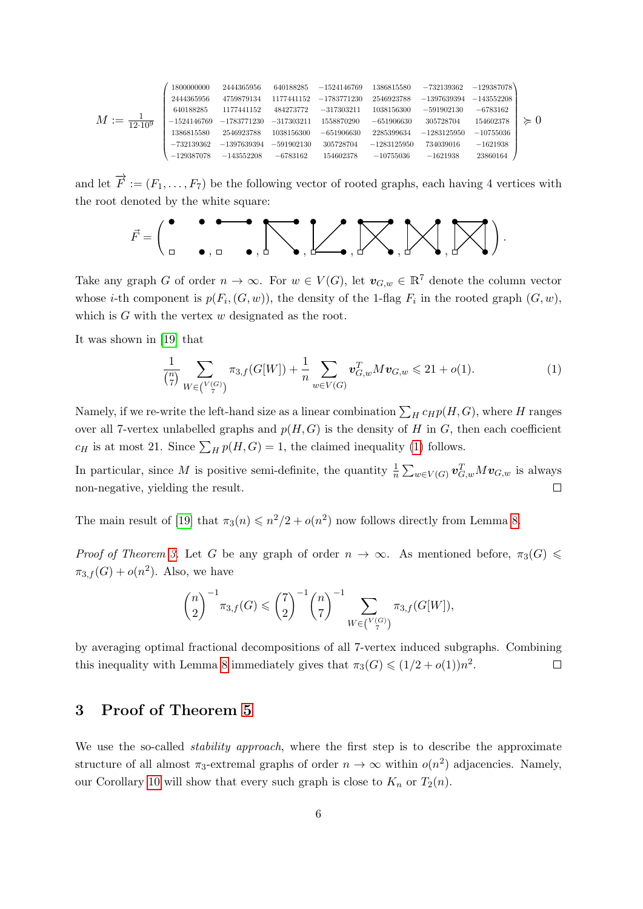$$
M:=\tfrac{1}{12\cdot 10^9}\left(\begin{smallmatrix} 1800000000 & 2444365956 & 640188285 & -1524146769 & 1386815580 & -732139362 & -129387078 \\ 2444365956 & 4759879134 & 1177441152 & -1783771230 & 2546923788 & -1397639394 & -143552208 \\ 640188285 & 1177441152 & 484273772 & -317303211 & 1038156300 & -591902130 & -6783162 \\ -1524146769 & -1783771230 & -317303211 & 1558870290 & -651906630 & 305728704 & 154602378 \\ 1386815580 & 2546923788 & 1038156300 & -651906630 & 2285399634 & -1283125950 & -10755036 \\ -732139362 & -1397639394 & -591902130 & 305728704 & -1283125950 & 734039016 & -1621938 \\ -129387078 & -143552208 & -6783162 & 154602378 & -10755036 & -1621938 & 23860164 \end{smallmatrix}\right)\right\}
$$

and let  $\overrightarrow{F} := (F_1, \ldots, F_7)$  be the following vector of rooted graphs, each having 4 vertices with the root denoted by the white square:

$$
\vec{F} = \begin{pmatrix} \bullet & \bullet & \bullet & \bullet \\ \Box & \bullet & \bullet & \end{pmatrix}, \begin{bmatrix} \bullet & \bullet & \bullet \\ & \bullet & \bullet \end{bmatrix}, \begin{bmatrix} \bullet & \bullet & \bullet \\ & \bullet & \bullet \end{bmatrix}, \begin{bmatrix} \bullet & \bullet & \bullet \\ & \bullet & \bullet \end{bmatrix}, \begin{bmatrix} \bullet & \bullet & \bullet \\ & \bullet & \bullet \end{bmatrix}, \begin{bmatrix} \bullet & \bullet & \bullet \\ & \bullet & \bullet \end{bmatrix}, \begin{bmatrix} \bullet & \bullet & \bullet \\ & \bullet & \bullet \end{bmatrix}, \begin{bmatrix} \bullet & \bullet & \bullet \\ & \bullet & \bullet \end{bmatrix}, \begin{bmatrix} \bullet & \bullet & \bullet \\ & \bullet & \bullet \end{bmatrix}, \begin{bmatrix} \bullet & \bullet & \bullet \\ & \bullet & \bullet \end{bmatrix}, \begin{bmatrix} \bullet & \bullet & \bullet \\ & \bullet & \bullet \end{bmatrix}, \begin{bmatrix} \bullet & \bullet & \bullet \\ & \bullet & \bullet \end{bmatrix}, \begin{bmatrix} \bullet & \bullet & \bullet \\ & \bullet & \bullet \end{bmatrix}, \begin{bmatrix} \bullet & \bullet & \bullet \\ & \bullet & \bullet \end{bmatrix}, \begin{bmatrix} \bullet & \bullet & \bullet \\ & \bullet & \bullet \end{bmatrix}, \begin{bmatrix} \bullet & \bullet & \bullet \\ & \bullet & \bullet \end{bmatrix}, \begin{bmatrix} \bullet & \bullet & \bullet \\ & \bullet & \bullet \end{bmatrix}, \begin{bmatrix} \bullet & \bullet & \bullet \\ & \bullet & \bullet \end{bmatrix}, \begin{bmatrix} \bullet & \bullet & \bullet \\ & \bullet & \bullet \end{bmatrix}, \begin{bmatrix} \bullet & \bullet & \bullet \\ & \bullet & \bullet \end{bmatrix}, \begin{bmatrix} \bullet & \bullet & \bullet \\ & \bullet & \bullet \end{bmatrix}, \begin{bmatrix} \bullet & \bullet & \bullet \\ & \bullet & \bullet \end{bmatrix}, \begin{bmatrix} \bullet & \bullet & \bullet \\ & \bullet & \bullet \end{bmatrix}, \begin{bmatrix} \bullet & \bullet & \bullet \\ & \bullet & \bullet \end{bmatrix}, \begin{bmatrix} \bullet & \bullet & \bullet \\ & \bullet & \bullet \end{bmatrix}, \begin{bmatrix} \bullet & \bullet & \bullet \\ & \bullet & \bullet \end{bmatrix}, \begin{bmatrix} \bullet & \bullet & \bullet \\ & \bullet & \bullet \end{bmatrix}, \begin{bmatrix} \bullet & \bullet & \bullet \\ & \bullet &
$$

Take any graph G of order  $n \to \infty$ . For  $w \in V(G)$ , let  $v_{G,w} \in \mathbb{R}^7$  denote the column vector whose *i*-th component is  $p(F_i, (G, w))$ , the density of the 1-flag  $F_i$  in the rooted graph  $(G, w)$ , which is  $G$  with the vertex  $w$  designated as the root.

It was shown in [\[19\]](#page-19-1) that

<span id="page-5-1"></span>
$$
\frac{1}{\binom{n}{7}} \sum_{W \in \binom{V(G)}{7}} \pi_{3,f}(G[W]) + \frac{1}{n} \sum_{w \in V(G)} \mathbf{v}_{G,w}^T M \mathbf{v}_{G,w} \le 21 + o(1). \tag{1}
$$

Namely, if we re-write the left-hand size as a linear combination  $\sum_H c_H p(H, G)$ , where H ranges over all 7-vertex unlabelled graphs and  $p(H, G)$  is the density of H in G, then each coefficient  $c_H$  is at most 21. Since  $\sum_H p(H, G) = 1$ , the claimed inequality [\(1\)](#page-5-1) follows.

In particular, since M is positive semi-definite, the quantity  $\frac{1}{n} \sum_{w \in V(G)} \mathbf{v}_{G,w}^T M \mathbf{v}_{G,w}$  is always non-negative, yielding the result.  $\Box$ 

The main result of [\[19\]](#page-19-1) that  $\pi_3(n) \leq n^2/2 + o(n^2)$  now follows directly from Lemma [8.](#page-4-1)

Proof of Theorem [3.](#page-1-2) Let G be any graph of order  $n \to \infty$ . As mentioned before,  $\pi_3(G) \leq$  $\pi_{3,f}(G) + o(n^2)$ . Also, we have

$$
{n \choose 2}^{-1} \pi_{3,f}(G) \leq {7 \choose 2}^{-1} {n \choose 7}^{-1} \sum_{W \in {V(G) \choose 7}} \pi_{3,f}(G[W]),
$$

by averaging optimal fractional decompositions of all 7-vertex induced subgraphs. Combining this inequality with Lemma [8](#page-4-1) immediately gives that  $\pi_3(G) \leq (1/2 + o(1))n^2$ .  $\Box$ 

## <span id="page-5-0"></span>3 Proof of Theorem [5](#page-3-0)

We use the so-called *stability approach*, where the first step is to describe the approximate structure of all almost  $\pi_3$ -extremal graphs of order  $n \to \infty$  within  $o(n^2)$  adjacencies. Namely, our Corollary [10](#page-7-0) will show that every such graph is close to  $K_n$  or  $T_2(n)$ .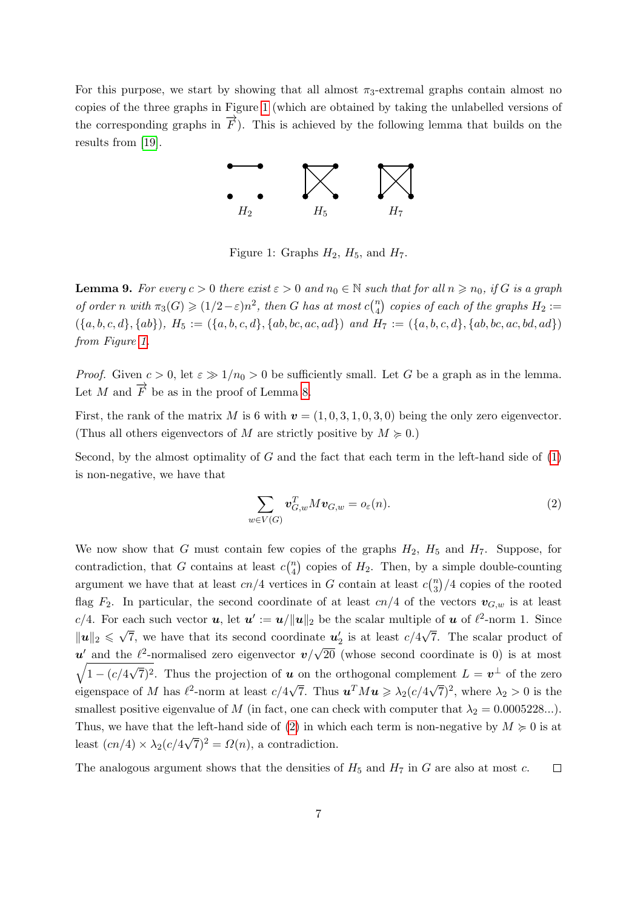<span id="page-6-0"></span>For this purpose, we start by showing that all almost  $\pi_3$ -extremal graphs contain almost no copies of the three graphs in Figure [1](#page-6-0) (which are obtained by taking the unlabelled versions of the corresponding graphs in  $\vec{F}$ ). This is achieved by the following lemma that builds on the results from [\[19\]](#page-19-1).



Figure 1: Graphs  $H_2$ ,  $H_5$ , and  $H_7$ .

<span id="page-6-2"></span>**Lemma 9.** For every  $c > 0$  there exist  $\varepsilon > 0$  and  $n_0 \in \mathbb{N}$  such that for all  $n \geq n_0$ , if G is a graph of order n with  $\pi_3(G) \geqslant (1/2 - \varepsilon)n^2$ , then G has at most  $c{n \choose 4}$  $\binom{n}{4}$  copies of each of the graphs  $H_2:=$  $(\{a, b, c, d\}, \{ab\}), H_5 := (\{a, b, c, d\}, \{ab, bc, ac, ad\})$  and  $H_7 := (\{a, b, c, d\}, \{ab, bc, ac, bd, ad\})$ from Figure [1.](#page-6-0)

*Proof.* Given  $c > 0$ , let  $\varepsilon \gg 1/n_0 > 0$  be sufficiently small. Let G be a graph as in the lemma. Let M and  $\overrightarrow{F}$  be as in the proof of Lemma [8.](#page-4-1)

First, the rank of the matrix M is 6 with  $v = (1, 0, 3, 1, 0, 3, 0)$  being the only zero eigenvector. (Thus all others eigenvectors of M are strictly positive by  $M \geq 0$ .)

Second, by the almost optimality of  $G$  and the fact that each term in the left-hand side of  $(1)$ is non-negative, we have that

<span id="page-6-1"></span>
$$
\sum_{w \in V(G)} \mathbf{v}_{G,w}^T M \mathbf{v}_{G,w} = o_{\varepsilon}(n). \tag{2}
$$

We now show that G must contain few copies of the graphs  $H_2$ ,  $H_5$  and  $H_7$ . Suppose, for contradiction, that G contains at least  $c\binom{n}{4}$  $\binom{n}{4}$  copies of  $H_2$ . Then, by a simple double-counting argument we have that at least  $cn/4$  vertices in G contain at least  $c\binom{n}{3}$  $\binom{n}{3}/4$  copies of the rooted flag  $F_2$ . In particular, the second coordinate of at least cn/4 of the vectors  $v_{G,w}$  is at least c/4. For each such vector  $u$ , let  $u' := u/||u||_2$  be the scalar multiple of  $u$  of  $\ell^2$ -norm 1. Since  $\|\mathbf{u}\|_2 \leq \sqrt{7}$ , we have that its second coordinate  $\mathbf{u}'_2$  is at least  $c/4\sqrt{7}$ . The scalar product of  $u'$  and the  $\ell^2$ -normalised zero eigenvector  $v/$ √  $\sqrt{1 - (c/4)}$ 20 (whose second coordinate is 0) is at most √  $(7)^2$ . Thus the projection of **u** on the orthogonal complement  $L = \mathbf{v}^{\perp}$  of the zero eigenspace of M has  $\ell^2$ -norm at least  $c/4\sqrt{7}$ . Thus  $u^T M u \geq \lambda_2 (c/4\sqrt{7})^2$ , where  $\lambda_2 > 0$  is the smallest positive eigenvalue of M (in fact, one can check with computer that  $\lambda_2 = 0.0005228...$ ). Thus, we have that the left-hand side of [\(2\)](#page-6-1) in which each term is non-negative by  $M \geq 0$  is at least  $(cn/4) \times \lambda_2(c/4)$  $(\sqrt{7})^2 = \Omega(n)$ , a contradiction.

The analogous argument shows that the densities of  $H_5$  and  $H_7$  in G are also at most c.  $\Box$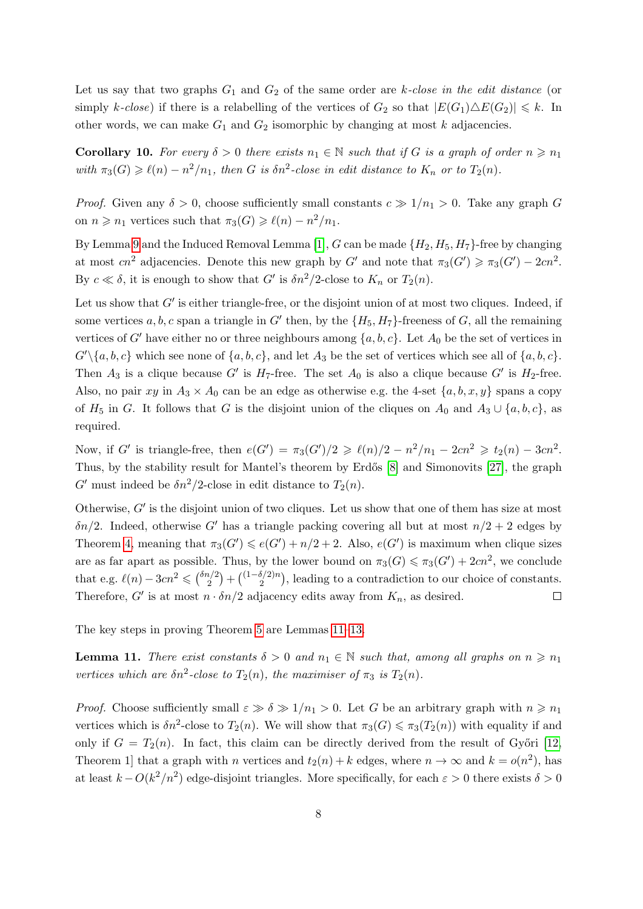Let us say that two graphs  $G_1$  and  $G_2$  of the same order are k-close in the edit distance (or simply k-close) if there is a relabelling of the vertices of  $G_2$  so that  $|E(G_1) \triangle E(G_2)| \leq k$ . In other words, we can make  $G_1$  and  $G_2$  isomorphic by changing at most k adjacencies.

<span id="page-7-0"></span>**Corollary 10.** For every  $\delta > 0$  there exists  $n_1 \in \mathbb{N}$  such that if G is a graph of order  $n \geq n_1$ with  $\pi_3(G) \geq \ell(n) - n^2/n_1$ , then G is  $\delta n^2$ -close in edit distance to  $K_n$  or to  $T_2(n)$ .

*Proof.* Given any  $\delta > 0$ , choose sufficiently small constants  $c \gg 1/n_1 > 0$ . Take any graph G on  $n \geq n_1$  vertices such that  $\pi_3(G) \geq \ell(n) - n^2/n_1$ .

By Lemma [9](#page-6-2) and the Induced Removal Lemma [\[1\]](#page-18-11),  $G$  can be made  $\{H_2, H_5, H_7\}$ -free by changing at most  $cn^2$  adjacencies. Denote this new graph by G' and note that  $\pi_3(G') \geq \pi_3(G') - 2cn^2$ . By  $c \ll \delta$ , it is enough to show that G' is  $\delta n^2/2$ -close to  $K_n$  or  $T_2(n)$ .

Let us show that  $G'$  is either triangle-free, or the disjoint union of at most two cliques. Indeed, if some vertices a, b, c span a triangle in G' then, by the  $\{H_5, H_7\}$ -freeness of G, all the remaining vertices of G' have either no or three neighbours among  $\{a, b, c\}$ . Let  $A_0$  be the set of vertices in  $G'\{a, b, c\}$  which see none of  $\{a, b, c\}$ , and let  $A_3$  be the set of vertices which see all of  $\{a, b, c\}$ . Then  $A_3$  is a clique because G' is  $H_7$ -free. The set  $A_0$  is also a clique because G' is  $H_2$ -free. Also, no pair xy in  $A_3 \times A_0$  can be an edge as otherwise e.g. the 4-set  $\{a, b, x, y\}$  spans a copy of  $H_5$  in G. It follows that G is the disjoint union of the cliques on  $A_0$  and  $A_3 \cup \{a, b, c\}$ , as required.

Now, if G' is triangle-free, then  $e(G') = \pi_3(G')/2 \geq \ell(n)/2 - n^2/n_1 - 2cn^2 \geq t_2(n) - 3cn^2$ . Thus, by the stability result for Mantel's theorem by Erdős [\[8\]](#page-18-12) and Simonovits [\[27\]](#page-19-6), the graph G' must indeed be  $\delta n^2/2$ -close in edit distance to  $T_2(n)$ .

Otherwise,  $G'$  is the disjoint union of two cliques. Let us show that one of them has size at most  $\delta n/2$ . Indeed, otherwise G' has a triangle packing covering all but at most  $n/2 + 2$  edges by Theorem [4,](#page-2-0) meaning that  $\pi_3(G') \leqslant e(G') + n/2 + 2$ . Also,  $e(G')$  is maximum when clique sizes are as far apart as possible. Thus, by the lower bound on  $\pi_3(G) \leq \pi_3(G') + 2cn^2$ , we conclude that e.g.  $\ell(n) - 3cn^2 \leqslant {\binom{\delta n/2}{2}}$  $\binom{n/2}{2} + \binom{(1-\delta/2)n}{2}$  $2^{2(n)}$ , leading to a contradiction to our choice of constants. Therefore, G' is at most  $n \cdot \delta n/2$  adjacency edits away from  $K_n$ , as desired.  $\Box$ 

The key steps in proving Theorem [5](#page-3-0) are Lemmas [11–](#page-7-1)[13.](#page-13-0)

<span id="page-7-1"></span>**Lemma 11.** There exist constants  $\delta > 0$  and  $n_1 \in \mathbb{N}$  such that, among all graphs on  $n \geq n_1$ vertices which are  $\delta n^2$ -close to  $T_2(n)$ , the maximiser of  $\pi_3$  is  $T_2(n)$ .

*Proof.* Choose sufficiently small  $\varepsilon \gg \delta \gg 1/n_1 > 0$ . Let G be an arbitrary graph with  $n \geq n_1$ vertices which is  $\delta n^2$ -close to  $T_2(n)$ . We will show that  $\pi_3(G) \leq \pi_3(T_2(n))$  with equality if and only if  $G = T_2(n)$ . In fact, this claim can be directly derived from the result of Győri [\[12,](#page-18-13) Theorem 1] that a graph with *n* vertices and  $t_2(n) + k$  edges, where  $n \to \infty$  and  $k = o(n^2)$ , has at least  $k - O(k^2/n^2)$  edge-disjoint triangles. More specifically, for each  $\varepsilon > 0$  there exists  $\delta > 0$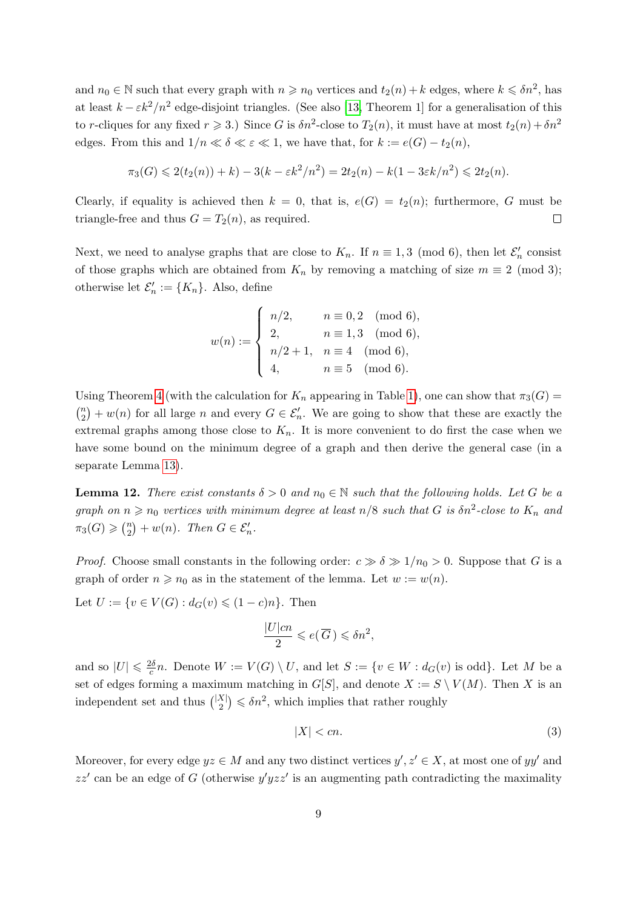and  $n_0 \in \mathbb{N}$  such that every graph with  $n \geq n_0$  vertices and  $t_2(n) + k$  edges, where  $k \leq \delta n^2$ , has at least  $k - \varepsilon k^2/n^2$  edge-disjoint triangles. (See also [\[13,](#page-18-14) Theorem 1] for a generalisation of this to r-cliques for any fixed  $r \geqslant 3$ .) Since G is  $\delta n^2$ -close to  $T_2(n)$ , it must have at most  $t_2(n) + \delta n^2$ edges. From this and  $1/n \ll \delta \ll \varepsilon \ll 1$ , we have that, for  $k := e(G) - t_2(n)$ ,

$$
\pi_3(G) \leq 2(t_2(n)) + k - 3(k - \varepsilon k^2/n^2) = 2t_2(n) - k(1 - 3\varepsilon k/n^2) \leq 2t_2(n).
$$

Clearly, if equality is achieved then  $k = 0$ , that is,  $e(G) = t_2(n)$ ; furthermore, G must be triangle-free and thus  $G = T_2(n)$ , as required.  $\Box$ 

Next, we need to analyse graphs that are close to  $K_n$ . If  $n \equiv 1, 3 \pmod{6}$ , then let  $\mathcal{E}'_n$  consist of those graphs which are obtained from  $K_n$  by removing a matching of size  $m \equiv 2 \pmod{3}$ ; otherwise let  $\mathcal{E}'_n := \{K_n\}$ . Also, define

$$
w(n) := \begin{cases} n/2, & n \equiv 0, 2 \pmod{6}, \\ 2, & n \equiv 1, 3 \pmod{6}, \\ n/2 + 1, & n \equiv 4 \pmod{6}, \\ 4, & n \equiv 5 \pmod{6}. \end{cases}
$$

Using Theorem [4](#page-2-0) (with the calculation for  $K_n$  appearing in Table [1\)](#page-2-1), one can show that  $\pi_3(G)$  =  $\binom{n}{2}$  $\binom{n}{2} + w(n)$  for all large n and every  $G \in \mathcal{E}'_n$ . We are going to show that these are exactly the extremal graphs among those close to  $K_n$ . It is more convenient to do first the case when we have some bound on the minimum degree of a graph and then derive the general case (in a separate Lemma [13\)](#page-13-0).

<span id="page-8-1"></span>**Lemma 12.** There exist constants  $\delta > 0$  and  $n_0 \in \mathbb{N}$  such that the following holds. Let G be a graph on  $n \geq n_0$  vertices with minimum degree at least  $n/8$  such that G is  $\delta n^2$ -close to  $K_n$  and  $\pi_3(G) \geqslant \binom{n}{2}$  $\binom{n}{2} + w(n)$ . Then  $G \in \mathcal{E}'_n$ .

*Proof.* Choose small constants in the following order:  $c \gg \delta \gg 1/n_0 > 0$ . Suppose that G is a graph of order  $n \geq n_0$  as in the statement of the lemma. Let  $w := w(n)$ .

Let  $U := \{v \in V(G) : d_G(v) \leq (1 - c)n\}$ . Then

$$
\frac{|U|cn}{2} \leqslant e(\overline{G}) \leqslant \delta n^2,
$$

and so  $|U| \leqslant \frac{2\delta}{c}$  $\frac{\partial}{\partial c} n$ . Denote  $W := V(G) \setminus U$ , and let  $S := \{v \in W : d_G(v)$  is odd}. Let M be a set of edges forming a maximum matching in  $G[S]$ , and denote  $X := S \setminus V(M)$ . Then X is an independent set and thus  $\binom{|X|}{2}$  $\binom{X}{2} \leqslant \delta n^2$ , which implies that rather roughly

<span id="page-8-0"></span>
$$
|X| < cn. \tag{3}
$$

Moreover, for every edge  $yz \in M$  and any two distinct vertices  $y', z' \in X$ , at most one of  $yy'$  and  $zz'$  can be an edge of G (otherwise  $y'yzz'$  is an augmenting path contradicting the maximality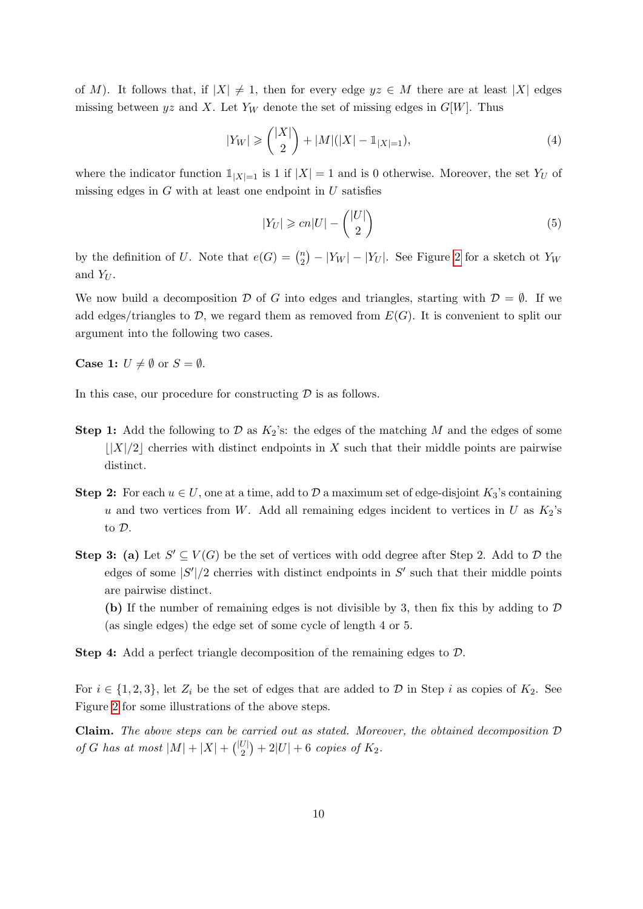of M). It follows that, if  $|X| \neq 1$ , then for every edge  $yz \in M$  there are at least  $|X|$  edges missing between yz and X. Let  $Y_W$  denote the set of missing edges in  $G[W]$ . Thus

<span id="page-9-0"></span>
$$
|Y_W| \geq \binom{|X|}{2} + |M|(|X| - \mathbb{1}_{|X|=1}),\tag{4}
$$

where the indicator function  $1_{|X|=1}$  is 1 if  $|X|=1$  and is 0 otherwise. Moreover, the set  $Y_U$  of missing edges in  $G$  with at least one endpoint in  $U$  satisfies

<span id="page-9-1"></span>
$$
|Y_U| \geqslant cn|U| - \binom{|U|}{2} \tag{5}
$$

by the definition of U. Note that  $e(G) = \binom{n}{2}$  $\binom{n}{2} - |Y_W| - |Y_U|$ . See Figure [2](#page-10-0) for a sketch ot  $Y_W$ and  $Y_U$ .

We now build a decomposition D of G into edges and triangles, starting with  $\mathcal{D} = \emptyset$ . If we add edges/triangles to  $\mathcal{D}$ , we regard them as removed from  $E(G)$ . It is convenient to split our argument into the following two cases.

**Case 1:**  $U \neq \emptyset$  or  $S = \emptyset$ .

In this case, our procedure for constructing  $\mathcal D$  is as follows.

- **Step 1:** Add the following to D as  $K_2$ 's: the edges of the matching M and the edges of some  $\left|\frac{X}{2}\right|$  cherries with distinct endpoints in X such that their middle points are pairwise distinct.
- Step 2: For each  $u \in U$ , one at a time, add to  $D$  a maximum set of edge-disjoint  $K_3$ 's containing u and two vertices from W. Add all remaining edges incident to vertices in U as  $K_2$ 's to D.
- **Step 3:** (a) Let  $S' \subseteq V(G)$  be the set of vertices with odd degree after Step 2. Add to  $D$  the edges of some  $|S'|/2$  cherries with distinct endpoints in  $S'$  such that their middle points are pairwise distinct.

(b) If the number of remaining edges is not divisible by 3, then fix this by adding to  $\mathcal D$ (as single edges) the edge set of some cycle of length 4 or 5.

Step 4: Add a perfect triangle decomposition of the remaining edges to D.

For  $i \in \{1,2,3\}$ , let  $Z_i$  be the set of edges that are added to  $D$  in Step i as copies of  $K_2$ . See Figure [2](#page-10-0) for some illustrations of the above steps.

**Claim.** The above steps can be carried out as stated. Moreover, the obtained decomposition  $D$ of G has at most  $|M|+|X|+ { |U| \choose 2 }$  $\binom{U}{2} + 2|U| + 6$  copies of  $K_2$ .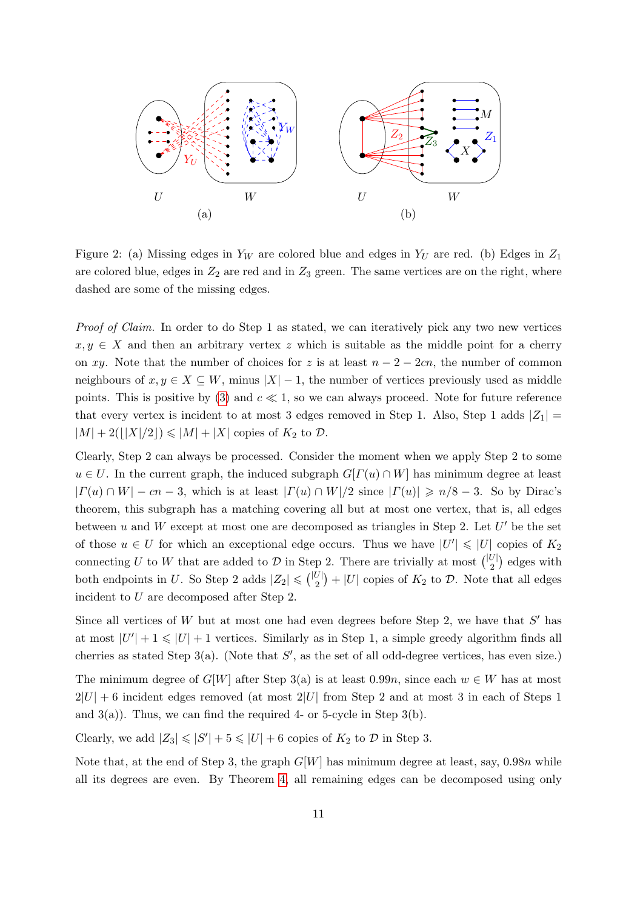<span id="page-10-0"></span>

Figure 2: (a) Missing edges in  $Y_W$  are colored blue and edges in  $Y_U$  are red. (b) Edges in  $Z_1$ are colored blue, edges in  $Z_2$  are red and in  $Z_3$  green. The same vertices are on the right, where dashed are some of the missing edges.

Proof of Claim. In order to do Step 1 as stated, we can iteratively pick any two new vertices  $x, y \in X$  and then an arbitrary vertex z which is suitable as the middle point for a cherry on xy. Note that the number of choices for z is at least  $n-2-2cn$ , the number of common neighbours of  $x, y \in X \subseteq W$ , minus  $|X| - 1$ , the number of vertices previously used as middle points. This is positive by [\(3\)](#page-8-0) and  $c \ll 1$ , so we can always proceed. Note for future reference that every vertex is incident to at most 3 edges removed in Step 1. Also, Step 1 adds  $|Z_1|$  =  $|M| + 2(|X|/2|) \leq |M| + |X|$  copies of  $K_2$  to  $\mathcal{D}$ .

Clearly, Step 2 can always be processed. Consider the moment when we apply Step 2 to some  $u \in U$ . In the current graph, the induced subgraph  $G[T(u) \cap W]$  has minimum degree at least  $|\Gamma(u) \cap W| - cn - 3$ , which is at least  $|\Gamma(u) \cap W|/2$  since  $|\Gamma(u)| \ge n/8 - 3$ . So by Dirac's theorem, this subgraph has a matching covering all but at most one vertex, that is, all edges between u and W except at most one are decomposed as triangles in Step 2. Let  $U'$  be the set of those  $u \in U$  for which an exceptional edge occurs. Thus we have  $|U'| \leq |U|$  copies of  $K_2$ connecting U to W that are added to D in Step 2. There are trivially at most  $\binom{|U|}{2}$  $\binom{U}{2}$  edges with both endpoints in U. So Step 2 adds  $|Z_2| \leq 1$  $\binom{U}{2}$  + |U| copies of  $K_2$  to D. Note that all edges incident to U are decomposed after Step 2.

Since all vertices of  $W$  but at most one had even degrees before Step 2, we have that  $S'$  has at most  $|U'| + 1 \leq |U| + 1$  vertices. Similarly as in Step 1, a simple greedy algorithm finds all cherries as stated Step  $3(a)$ . (Note that  $S'$ , as the set of all odd-degree vertices, has even size.)

The minimum degree of  $G[W]$  after Step 3(a) is at least 0.99n, since each  $w \in W$  has at most  $2|U| + 6$  incident edges removed (at most  $2|U|$  from Step 2 and at most 3 in each of Steps 1 and  $3(a)$ ). Thus, we can find the required 4- or 5-cycle in Step  $3(b)$ .

Clearly, we add  $|Z_3| \leq |S'| + 5 \leq |U| + 6$  copies of  $K_2$  to  $D$  in Step 3.

Note that, at the end of Step 3, the graph  $G[W]$  has minimum degree at least, say, 0.98n while all its degrees are even. By Theorem [4,](#page-2-0) all remaining edges can be decomposed using only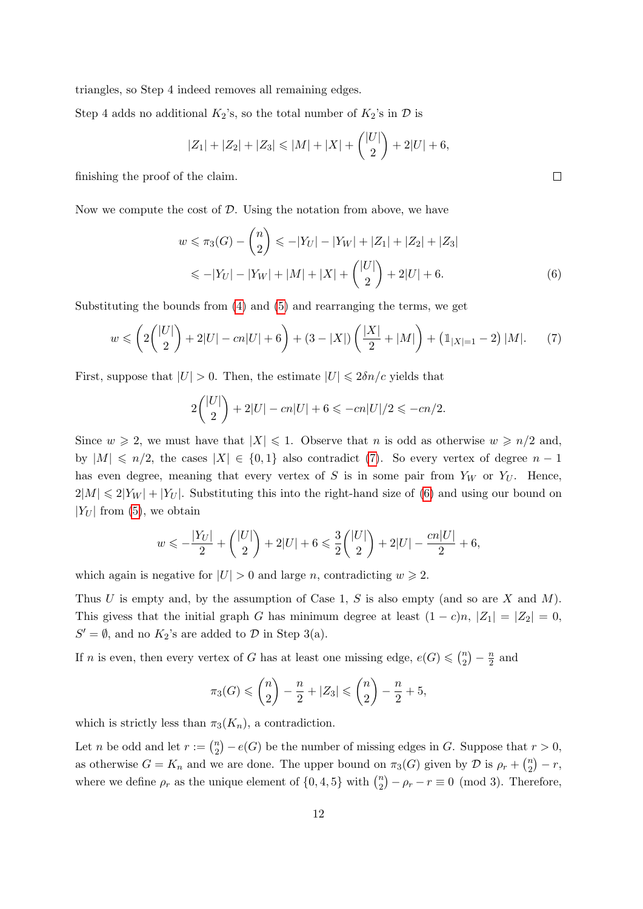triangles, so Step 4 indeed removes all remaining edges.

Step 4 adds no additional  $K_2$ 's, so the total number of  $K_2$ 's in  $\mathcal D$  is

$$
|Z_1| + |Z_2| + |Z_3| \le |M| + |X| + \binom{|U|}{2} + 2|U| + 6,
$$

finishing the proof of the claim.

Now we compute the cost of  $D$ . Using the notation from above, we have

$$
w \leqslant \pi_3(G) - \binom{n}{2} \leqslant -|Y_U| - |Y_W| + |Z_1| + |Z_2| + |Z_3|
$$
  

$$
\leqslant -|Y_U| - |Y_W| + |M| + |X| + \binom{|U|}{2} + 2|U| + 6.
$$
 (6)

Substituting the bounds from  $(4)$  and  $(5)$  and rearranging the terms, we get

<span id="page-11-0"></span>
$$
w \leqslant \left(2\binom{|U|}{2} + 2|U| - cn|U| + 6\right) + (3 - |X|)\left(\frac{|X|}{2} + |M|\right) + \left(\mathbb{1}_{|X|=1} - 2\right)|M|.\tag{7}
$$

First, suppose that  $|U| > 0$ . Then, the estimate  $|U| \leq 2\delta n/c$  yields that

$$
2\binom{|U|}{2} + 2|U| - cn|U| + 6 \le -cn|U|/2 \le -cn/2.
$$

Since  $w \ge 2$ , we must have that  $|X| \le 1$ . Observe that n is odd as otherwise  $w \ge n/2$  and, by  $|M| \le n/2$ , the cases  $|X| \in \{0,1\}$  also contradict [\(7\)](#page-11-0). So every vertex of degree  $n-1$ has even degree, meaning that every vertex of S is in some pair from  $Y_W$  or  $Y_U$ . Hence,  $2|M| \leq 2|Y_W| + |Y_U|$ . Substituting this into the right-hand size of [\(6\)](#page-11-1) and using our bound on  $|Y_U|$  from [\(5\)](#page-9-1), we obtain

$$
w \leqslant -\frac{|Y_U|}{2} + \binom{|U|}{2} + 2|U| + 6 \leqslant \frac{3}{2} \binom{|U|}{2} + 2|U| - \frac{cn|U|}{2} + 6,
$$

which again is negative for  $|U| > 0$  and large n, contradicting  $w \ge 2$ .

Thus U is empty and, by the assumption of Case 1, S is also empty (and so are X and  $M$ ). This givess that the initial graph G has minimum degree at least  $(1 - c)n$ ,  $|Z_1| = |Z_2| = 0$ ,  $S' = \emptyset$ , and no  $K_2$ 's are added to  $D$  in Step 3(a).

If n is even, then every vertex of G has at least one missing edge,  $e(G) \leq \binom{n}{2}$  $\binom{n}{2} - \frac{n}{2}$  $\frac{n}{2}$  and

$$
\pi_3(G) \leq {n \choose 2} - \frac{n}{2} + |Z_3| \leq {n \choose 2} - \frac{n}{2} + 5,
$$

which is strictly less than  $\pi_3(K_n)$ , a contradiction.

Let *n* be odd and let  $r := \binom{n}{2}$  $\binom{n}{2} - e(G)$  be the number of missing edges in G. Suppose that  $r > 0$ , as otherwise  $G = K_n$  and we are done. The upper bound on  $\pi_3(G)$  given by  $\mathcal D$  is  $\rho_r + \binom{n_2}{2}$  $\binom{n}{2} - r,$ where we define  $\rho_r$  as the unique element of  $\{0, 4, 5\}$  with  $\binom{n}{2}$  $\binom{n}{2} - \rho_r - r \equiv 0 \pmod{3}$ . Therefore,

<span id="page-11-1"></span> $\Box$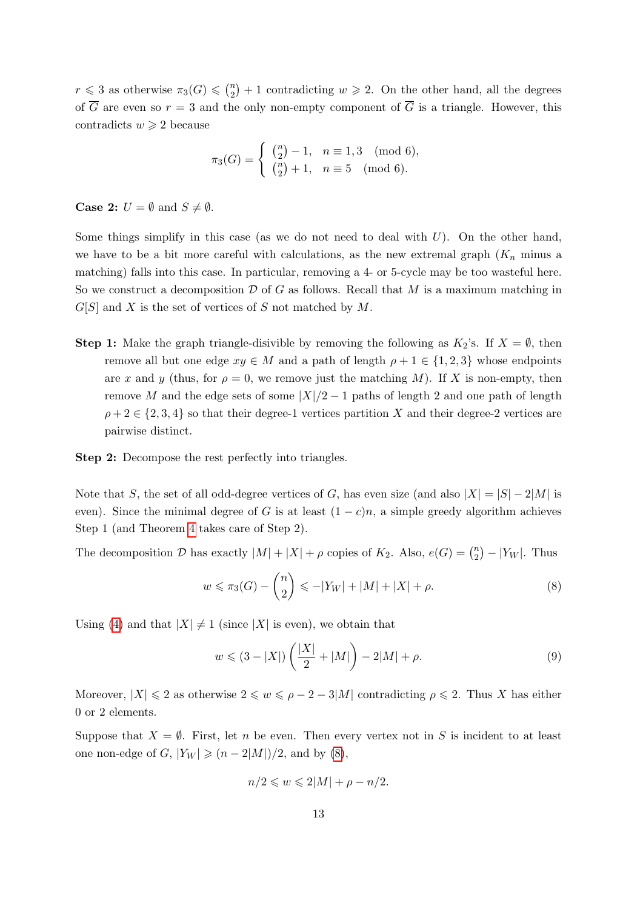$r \leqslant 3$  as otherwise  $\pi_3(G) \leqslant \binom{n}{2}$  $\binom{n}{2}+1$  contradicting  $w \geq 2$ . On the other hand, all the degrees of  $\overline{G}$  are even so  $r = 3$  and the only non-empty component of  $\overline{G}$  is a triangle. However, this contradicts  $w \geqslant 2$  because

$$
\pi_3(G) = \begin{cases} \binom{n}{2} - 1, & n \equiv 1, 3 \pmod{6}, \\ \binom{n}{2} + 1, & n \equiv 5 \pmod{6}. \end{cases}
$$

**Case 2:**  $U = \emptyset$  and  $S \neq \emptyset$ .

Some things simplify in this case (as we do not need to deal with  $U$ ). On the other hand, we have to be a bit more careful with calculations, as the new extremal graph  $(K_n$  minus a matching) falls into this case. In particular, removing a 4- or 5-cycle may be too wasteful here. So we construct a decomposition  $\mathcal D$  of G as follows. Recall that M is a maximum matching in  $G[S]$  and X is the set of vertices of S not matched by M.

**Step 1:** Make the graph triangle-disivible by removing the following as  $K_2$ 's. If  $X = \emptyset$ , then remove all but one edge  $xy \in M$  and a path of length  $\rho + 1 \in \{1, 2, 3\}$  whose endpoints are x and y (thus, for  $\rho = 0$ , we remove just the matching M). If X is non-empty, then remove M and the edge sets of some  $|X|/2 - 1$  paths of length 2 and one path of length  $\rho + 2 \in \{2, 3, 4\}$  so that their degree-1 vertices partition X and their degree-2 vertices are pairwise distinct.

Step 2: Decompose the rest perfectly into triangles.

Note that S, the set of all odd-degree vertices of G, has even size (and also  $|X| = |S| - 2|M|$  is even). Since the minimal degree of G is at least  $(1 - c)n$ , a simple greedy algorithm achieves Step 1 (and Theorem [4](#page-2-0) takes care of Step 2).

The decomposition D has exactly  $|M| + |X| + \rho$  copies of  $K_2$ . Also,  $e(G) = \binom{n}{2}$  $\binom{n}{2} - |Y_W|$ . Thus

<span id="page-12-0"></span>
$$
w \leq \pi_3(G) - \binom{n}{2} \leq -|Y_W| + |M| + |X| + \rho. \tag{8}
$$

Using [\(4\)](#page-9-0) and that  $|X| \neq 1$  (since  $|X|$  is even), we obtain that

<span id="page-12-1"></span>
$$
w \le (3 - |X|) \left( \frac{|X|}{2} + |M| \right) - 2|M| + \rho. \tag{9}
$$

Moreover,  $|X| \leq 2$  as otherwise  $2 \leq w \leq \rho - 2 - 3|M|$  contradicting  $\rho \leq 2$ . Thus X has either 0 or 2 elements.

Suppose that  $X = \emptyset$ . First, let n be even. Then every vertex not in S is incident to at least one non-edge of G,  $|Y_W| \ge (n-2|M|)/2$ , and by [\(8\)](#page-12-0),

$$
n/2 \leqslant w \leqslant 2|M| + \rho - n/2.
$$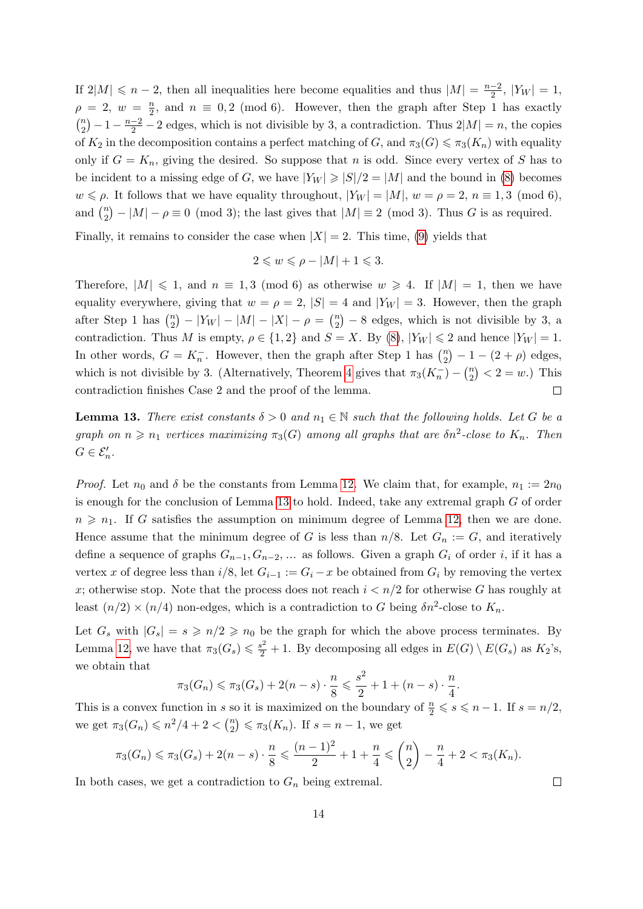If  $2|M| \leq n-2$ , then all inequalities here become equalities and thus  $|M| = \frac{n-2}{2}$  $\frac{-2}{2}$ ,  $|Y_W| = 1$ ,  $\rho = 2, w = \frac{n}{2}$  $\frac{n}{2}$ , and  $n \equiv 0, 2 \pmod{6}$ . However, then the graph after Step 1 has exactly  $\binom{n}{2}$  $\binom{n}{2} - 1 - \frac{n-2}{2} - 2$  edges, which is not divisible by 3, a contradiction. Thus  $2|M| = n$ , the copies of  $K_2$  in the decomposition contains a perfect matching of G, and  $\pi_3(G) \leq \pi_3(K_n)$  with equality only if  $G = K_n$ , giving the desired. So suppose that n is odd. Since every vertex of S has to be incident to a missing edge of G, we have  $|Y_W| \geq |S|/2 = |M|$  and the bound in [\(8\)](#page-12-0) becomes  $w \leq \rho$ . It follows that we have equality throughout,  $|Y_W| = |M|$ ,  $w = \rho = 2$ ,  $n \equiv 1, 3 \pmod{6}$ , and  $\binom{n}{2}$  $\binom{n}{2} - |M| - \rho \equiv 0 \pmod{3}$ ; the last gives that  $|M| \equiv 2 \pmod{3}$ . Thus G is as required.

Finally, it remains to consider the case when  $|X| = 2$ . This time, [\(9\)](#page-12-1) yields that

$$
2 \leqslant w \leqslant \rho - |M| + 1 \leqslant 3.
$$

Therefore,  $|M| \leq 1$ , and  $n \equiv 1, 3 \pmod{6}$  as otherwise  $w \geq 4$ . If  $|M| = 1$ , then we have equality everywhere, giving that  $w = \rho = 2$ ,  $|S| = 4$  and  $|Y_W| = 3$ . However, then the graph after Step 1 has  $\binom{n}{2}$  $\binom{n}{2} - |Y_W| - |M| - |X| - \rho = \binom{n}{2}$  $\binom{n}{2}$  – 8 edges, which is not divisible by 3, a contradiction. Thus M is empty,  $\rho \in \{1,2\}$  and  $S = X$ . By [\(8\)](#page-12-0),  $|Y_W| \leq 2$  and hence  $|Y_W| = 1$ . In other words,  $G = K_n^-$ . However, then the graph after Step 1 has  $\binom{n}{2}$  $\binom{n}{2} - 1 - (2 + \rho)$  edges, which is not divisible by 3. (Alternatively, Theorem [4](#page-2-0) gives that  $\pi_3(K_n^-) - \binom{n}{2}$  $\binom{n}{2}$  < 2 = w.) This contradiction finishes Case 2 and the proof of the lemma.  $\Box$ 

<span id="page-13-0"></span>**Lemma 13.** There exist constants  $\delta > 0$  and  $n_1 \in \mathbb{N}$  such that the following holds. Let G be a graph on  $n \geq n_1$  vertices maximizing  $\pi_3(G)$  among all graphs that are  $\delta n^2$ -close to  $K_n$ . Then  $G \in \mathcal{E}'_n$ .

*Proof.* Let  $n_0$  and  $\delta$  be the constants from Lemma [12.](#page-8-1) We claim that, for example,  $n_1 := 2n_0$ is enough for the conclusion of Lemma [13](#page-13-0) to hold. Indeed, take any extremal graph G of order  $n \geq n_1$ . If G satisfies the assumption on minimum degree of Lemma [12,](#page-8-1) then we are done. Hence assume that the minimum degree of G is less than  $n/8$ . Let  $G_n := G$ , and iteratively define a sequence of graphs  $G_{n-1}, G_{n-2}, \ldots$  as follows. Given a graph  $G_i$  of order i, if it has a vertex x of degree less than  $i/8$ , let  $G_{i-1} := G_i - x$  be obtained from  $G_i$  by removing the vertex x; otherwise stop. Note that the process does not reach  $i < n/2$  for otherwise G has roughly at least  $(n/2) \times (n/4)$  non-edges, which is a contradiction to G being  $\delta n^2$ -close to  $K_n$ .

Let  $G_s$  with  $|G_s| = s \geq n/2 \geq n_0$  be the graph for which the above process terminates. By Lemma [12,](#page-8-1) we have that  $\pi_3(G_s) \leq \frac{s^2}{2} + 1$ . By decomposing all edges in  $E(G) \setminus E(G_s)$  as  $K_2$ 's, we obtain that

$$
\pi_3(G_n) \leq \pi_3(G_s) + 2(n - s) \cdot \frac{n}{8} \leq \frac{s^2}{2} + 1 + (n - s) \cdot \frac{n}{4}.
$$

This is a convex function in s so it is maximized on the boundary of  $\frac{n}{2} \leqslant s \leqslant n-1$ . If  $s = n/2$ , we get  $\pi_3(G_n) \leq n^2/4 + 2 < {n \choose 2}$  $\binom{n}{2} \leq \pi_3(K_n)$ . If  $s = n - 1$ , we get

$$
\pi_3(G_n) \leq \pi_3(G_s) + 2(n-s) \cdot \frac{n}{8} \leq \frac{(n-1)^2}{2} + 1 + \frac{n}{4} \leq \binom{n}{2} - \frac{n}{4} + 2 < \pi_3(K_n).
$$

In both cases, we get a contradiction to  $G_n$  being extremal.

 $\Box$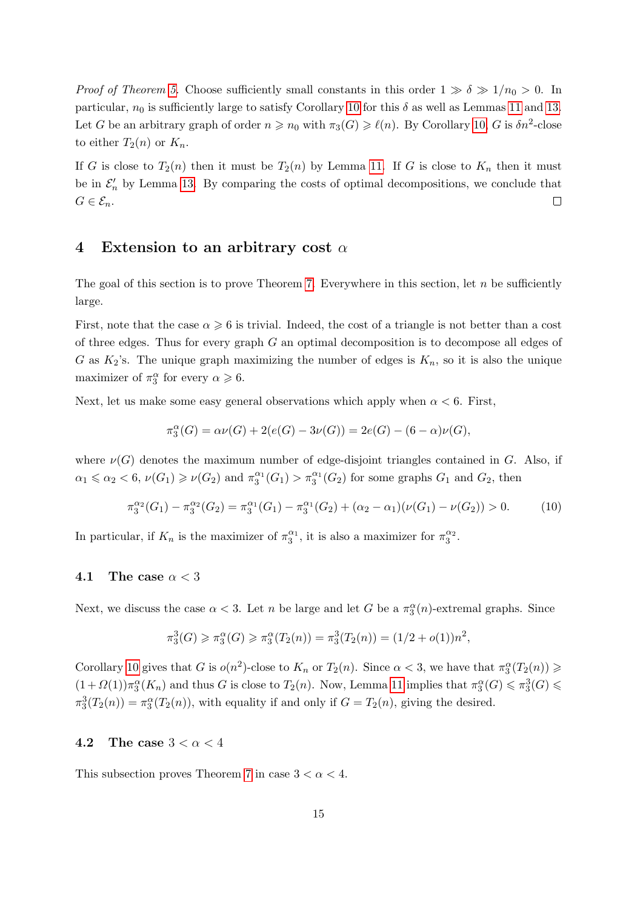*Proof of Theorem [5.](#page-3-0)* Choose sufficiently small constants in this order  $1 \gg \delta \gg 1/n_0 > 0$ . In particular,  $n_0$  is sufficiently large to satisfy Corollary [10](#page-7-0) for this  $\delta$  as well as Lemmas [11](#page-7-1) and [13.](#page-13-0) Let G be an arbitrary graph of order  $n \geq n_0$  with  $\pi_3(G) \geq \ell(n)$ . By Corollary [10,](#page-7-0) G is  $\delta n^2$ -close to either  $T_2(n)$  or  $K_n$ .

If G is close to  $T_2(n)$  then it must be  $T_2(n)$  by Lemma [11.](#page-7-1) If G is close to  $K_n$  then it must be in  $\mathcal{E}'_n$  by Lemma [13.](#page-13-0) By comparing the costs of optimal decompositions, we conclude that  $G\in\mathcal{E}_n.$  $\Box$ 

#### <span id="page-14-0"></span>4 Extension to an arbitrary cost  $\alpha$

The goal of this section is to prove Theorem [7.](#page-3-1) Everywhere in this section, let  $n$  be sufficiently large.

First, note that the case  $\alpha \geqslant 6$  is trivial. Indeed, the cost of a triangle is not better than a cost of three edges. Thus for every graph  $G$  an optimal decomposition is to decompose all edges of G as  $K_2$ 's. The unique graph maximizing the number of edges is  $K_n$ , so it is also the unique maximizer of  $\pi_3^{\alpha}$  for every  $\alpha \geq 6$ .

Next, let us make some easy general observations which apply when  $\alpha < 6$ . First,

$$
\pi_3^{\alpha}(G) = \alpha \nu(G) + 2(e(G) - 3\nu(G)) = 2e(G) - (6 - \alpha)\nu(G),
$$

where  $\nu(G)$  denotes the maximum number of edge-disjoint triangles contained in G. Also, if  $\alpha_1 \leqslant \alpha_2 < 6$ ,  $\nu(G_1) \geqslant \nu(G_2)$  and  $\pi_3^{\alpha_1}(G_1) > \pi_3^{\alpha_1}(G_2)$  for some graphs  $G_1$  and  $G_2$ , then

<span id="page-14-1"></span>
$$
\pi_3^{\alpha_2}(G_1) - \pi_3^{\alpha_2}(G_2) = \pi_3^{\alpha_1}(G_1) - \pi_3^{\alpha_1}(G_2) + (\alpha_2 - \alpha_1)(\nu(G_1) - \nu(G_2)) > 0.
$$
 (10)

In particular, if  $K_n$  is the maximizer of  $\pi_3^{\alpha_1}$ , it is also a maximizer for  $\pi_3^{\alpha_2}$ .

#### 4.1 The case  $\alpha < 3$

Next, we discuss the case  $\alpha < 3$ . Let n be large and let G be a  $\pi_3^{\alpha}(n)$ -extremal graphs. Since

$$
\pi_3^3(G) \ge \pi_3^{\alpha}(G) \ge \pi_3^{\alpha}(T_2(n)) = \pi_3^3(T_2(n)) = (1/2 + o(1))n^2,
$$

Corollary [10](#page-7-0) gives that G is  $o(n^2)$ -close to  $K_n$  or  $T_2(n)$ . Since  $\alpha < 3$ , we have that  $\pi_3^{\alpha}(T_2(n)) \geq$  $(1+\Omega(1))\pi_3^{\alpha}(K_n)$  and thus G is close to  $T_2(n)$ . Now, Lemma [11](#page-7-1) implies that  $\pi_3^{\alpha}(G) \leq \pi_3^3(G)$  $\pi_3^3(T_2(n)) = \pi_3^{\alpha}(T_2(n))$ , with equality if and only if  $G = T_2(n)$ , giving the desired.

#### 4.2 The case  $3 < \alpha < 4$

This subsection proves Theorem [7](#page-3-1) in case  $3 < \alpha < 4$ .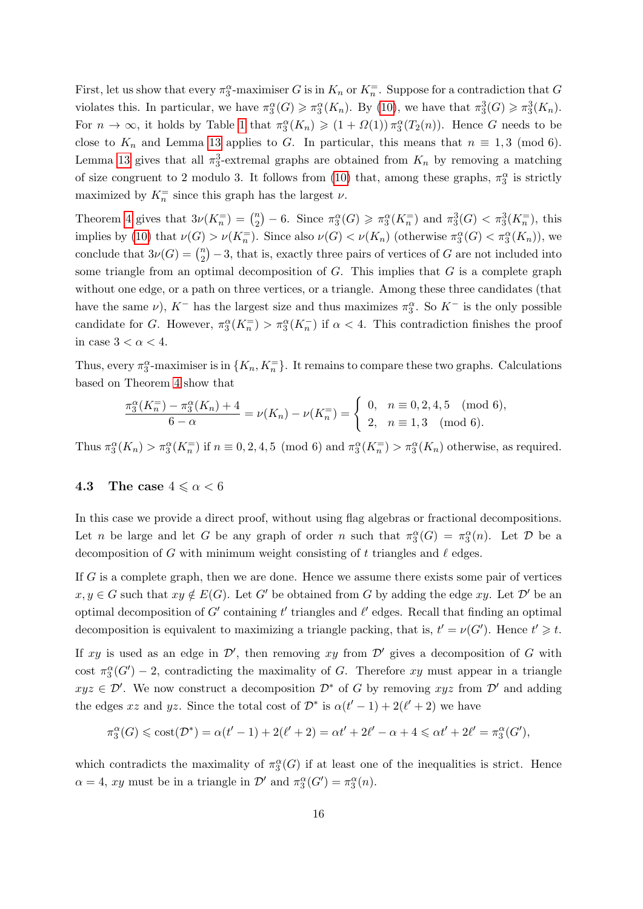First, let us show that every  $\pi_3^{\alpha}$ -maximiser G is in  $K_n$  or  $K_n^=$ . Suppose for a contradiction that G violates this. In particular, we have  $\pi_3^{\alpha}(G) \geq \pi_3^{\alpha}(K_n)$ . By [\(10\)](#page-14-1), we have that  $\pi_3^3(G) \geq \pi_3^3(K_n)$ . For  $n \to \infty$ , it holds by Table [1](#page-2-1) that  $\pi_3^{\alpha}(K_n) \geq (1 + \Omega(1)) \pi_3^{\alpha}(T_2(n))$ . Hence G needs to be close to  $K_n$  and Lemma [13](#page-13-0) applies to G. In particular, this means that  $n \equiv 1, 3 \pmod{6}$ . Lemma [13](#page-13-0) gives that all  $\pi_3^3$ -extremal graphs are obtained from  $K_n$  by removing a matching of size congruent to 2 modulo 3. It follows from [\(10\)](#page-14-1) that, among these graphs,  $\pi_3^{\alpha}$  is strictly maximized by  $K_n^=$  since this graph has the largest  $\nu$ .

Theorem [4](#page-2-0) gives that  $3\nu(K_n^-) = \binom{n}{2}$  $\binom{n}{2} - 6$ . Since  $\pi_3^{\alpha}(G) \geq \pi_3^{\alpha}(K_n^{\equiv})$  and  $\pi_3^3(G) < \pi_3^3(K_n^{\equiv})$ , this implies by [\(10\)](#page-14-1) that  $\nu(G) > \nu(K_n^-)$ . Since also  $\nu(G) < \nu(K_n)$  (otherwise  $\pi_3^{\alpha}(G) < \pi_3^{\alpha}(K_n)$ ), we conclude that  $3\nu(G) = \binom{n}{2}$  $\binom{n}{2} - 3$ , that is, exactly three pairs of vertices of G are not included into some triangle from an optimal decomposition of  $G$ . This implies that  $G$  is a complete graph without one edge, or a path on three vertices, or a triangle. Among these three candidates (that have the same  $\nu$ ),  $K^-$  has the largest size and thus maximizes  $\pi_3^{\alpha}$ . So  $K^-$  is the only possible candidate for G. However,  $\pi_3^{\alpha}(K_n^-) > \pi_3^{\alpha}(K_n^-)$  if  $\alpha < 4$ . This contradiction finishes the proof in case  $3 < \alpha < 4$ .

Thus, every  $\pi_3^{\alpha}$ -maximiser is in  $\{K_n, K_n^{\pm}\}\$ . It remains to compare these two graphs. Calculations based on Theorem [4](#page-2-0) show that

$$
\frac{\pi_3^{\alpha}(K_n^{-}) - \pi_3^{\alpha}(K_n) + 4}{6 - \alpha} = \nu(K_n) - \nu(K_n^{-}) = \begin{cases} 0, & n \equiv 0, 2, 4, 5 \pmod{6}, \\ 2, & n \equiv 1, 3 \pmod{6}. \end{cases}
$$

Thus  $\pi_3^{\alpha}(K_n) > \pi_3^{\alpha}(K_n^{\equiv})$  if  $n \equiv 0, 2, 4, 5 \pmod{6}$  and  $\pi_3^{\alpha}(K_n^{\equiv}) > \pi_3^{\alpha}(K_n)$  otherwise, as required.

#### 4.3 The case  $4 \le \alpha < 6$

In this case we provide a direct proof, without using flag algebras or fractional decompositions. Let n be large and let G be any graph of order n such that  $\pi_3^{\alpha}(G) = \pi_3^{\alpha}(n)$ . Let D be a decomposition of G with minimum weight consisting of t triangles and  $\ell$  edges.

If  $G$  is a complete graph, then we are done. Hence we assume there exists some pair of vertices  $x, y \in G$  such that  $xy \notin E(G)$ . Let G' be obtained from G by adding the edge xy. Let D' be an optimal decomposition of G' containing t' triangles and  $\ell'$  edges. Recall that finding an optimal decomposition is equivalent to maximizing a triangle packing, that is,  $t' = \nu(G')$ . Hence  $t' \geq t$ .

If xy is used as an edge in  $\mathcal{D}'$ , then removing xy from  $\mathcal{D}'$  gives a decomposition of G with cost  $\pi_3^{\alpha}(G') - 2$ , contradicting the maximality of G. Therefore xy must appear in a triangle  $xyz \in \mathcal{D}'$ . We now construct a decomposition  $\mathcal{D}^*$  of G by removing  $xyz$  from  $\mathcal{D}'$  and adding the edges xz and yz. Since the total cost of  $\mathcal{D}^*$  is  $\alpha(t'-1) + 2(\ell'+2)$  we have

$$
\pi_3^{\alpha}(G) \leqslant \mathrm{cost}(\mathcal{D}^*) = \alpha(t'-1) + 2(\ell'+2) = \alpha t' + 2\ell' - \alpha + 4 \leqslant \alpha t' + 2\ell' = \pi_3^{\alpha}(G'),
$$

which contradicts the maximality of  $\pi_3^{\alpha}(G)$  if at least one of the inequalities is strict. Hence  $\alpha = 4$ , xy must be in a triangle in  $\mathcal{D}'$  and  $\pi_3^{\alpha}(G') = \pi_3^{\alpha}(n)$ .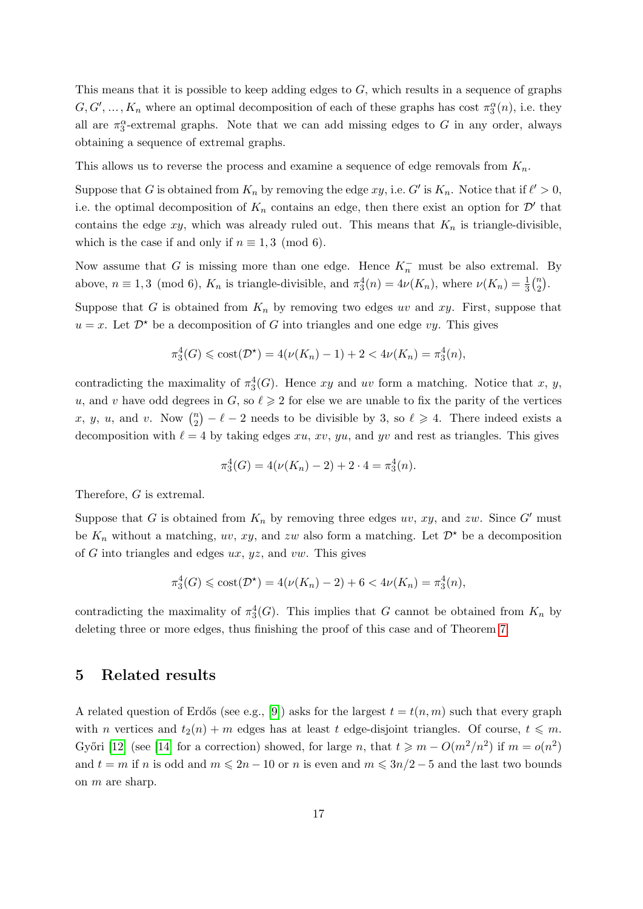This means that it is possible to keep adding edges to  $G$ , which results in a sequence of graphs  $G, G', \ldots, K_n$  where an optimal decomposition of each of these graphs has cost  $\pi_3^{\alpha}(n)$ , i.e. they all are  $\pi_3^{\alpha}$ -extremal graphs. Note that we can add missing edges to G in any order, always obtaining a sequence of extremal graphs.

This allows us to reverse the process and examine a sequence of edge removals from  $K_n$ .

Suppose that G is obtained from  $K_n$  by removing the edge  $xy$ , i.e. G' is  $K_n$ . Notice that if  $\ell' > 0$ , i.e. the optimal decomposition of  $K_n$  contains an edge, then there exist an option for  $\mathcal{D}'$  that contains the edge xy, which was already ruled out. This means that  $K_n$  is triangle-divisible, which is the case if and only if  $n \equiv 1, 3 \pmod{6}$ .

Now assume that G is missing more than one edge. Hence  $K_n^-$  must be also extremal. By above,  $n \equiv 1, 3 \pmod{6}$ ,  $K_n$  is triangle-divisible, and  $\pi_3^4(n) = 4\nu(K_n)$ , where  $\nu(K_n) = \frac{1}{3} {n \choose 2}$  $\binom{n}{2}$ .

Suppose that G is obtained from  $K_n$  by removing two edges uv and xy. First, suppose that  $u = x$ . Let  $\mathcal{D}^*$  be a decomposition of G into triangles and one edge vy. This gives

$$
\pi_3^4(G) \le \text{cost}(\mathcal{D}^*) = 4(\nu(K_n) - 1) + 2 < 4\nu(K_n) = \pi_3^4(n),
$$

contradicting the maximality of  $\pi_3^4(G)$ . Hence xy and uv form a matching. Notice that x, y, u, and v have odd degrees in G, so  $\ell \geq 2$  for else we are unable to fix the parity of the vertices x, y, u, and v. Now  $\binom{n}{2}$  $\binom{n}{2} - \ell - 2$  needs to be divisible by 3, so  $\ell \geq 4$ . There indeed exists a decomposition with  $\ell = 4$  by taking edges xu, xv, yu, and yv and rest as triangles. This gives

$$
\pi_3^4(G) = 4(\nu(K_n) - 2) + 2 \cdot 4 = \pi_3^4(n).
$$

Therefore, G is extremal.

Suppose that G is obtained from  $K_n$  by removing three edges uv, xy, and zw. Since G' must be  $K_n$  without a matching, uv, xy, and zw also form a matching. Let  $\mathcal{D}^{\star}$  be a decomposition of G into triangles and edges  $ux, yz$ , and  $vw$ . This gives

$$
\pi_3^4(G) \le \text{cost}(\mathcal{D}^*) = 4(\nu(K_n) - 2) + 6 < 4\nu(K_n) = \pi_3^4(n),
$$

contradicting the maximality of  $\pi_3^4(G)$ . This implies that G cannot be obtained from  $K_n$  by deleting three or more edges, thus finishing the proof of this case and of Theorem [7.](#page-3-1)

#### <span id="page-16-0"></span>5 Related results

A related question of Erdős (see e.g., [\[9\]](#page-18-15)) asks for the largest  $t = t(n, m)$  such that every graph with n vertices and  $t_2(n) + m$  edges has at least t edge-disjoint triangles. Of course,  $t \leq m$ . Győri [\[12\]](#page-18-13) (see [\[14\]](#page-18-16) for a correction) showed, for large n, that  $t \geq m - O(m^2/n^2)$  if  $m = o(n^2)$ and  $t = m$  if n is odd and  $m \leq 2n - 10$  or n is even and  $m \leq 3n/2 - 5$  and the last two bounds on m are sharp.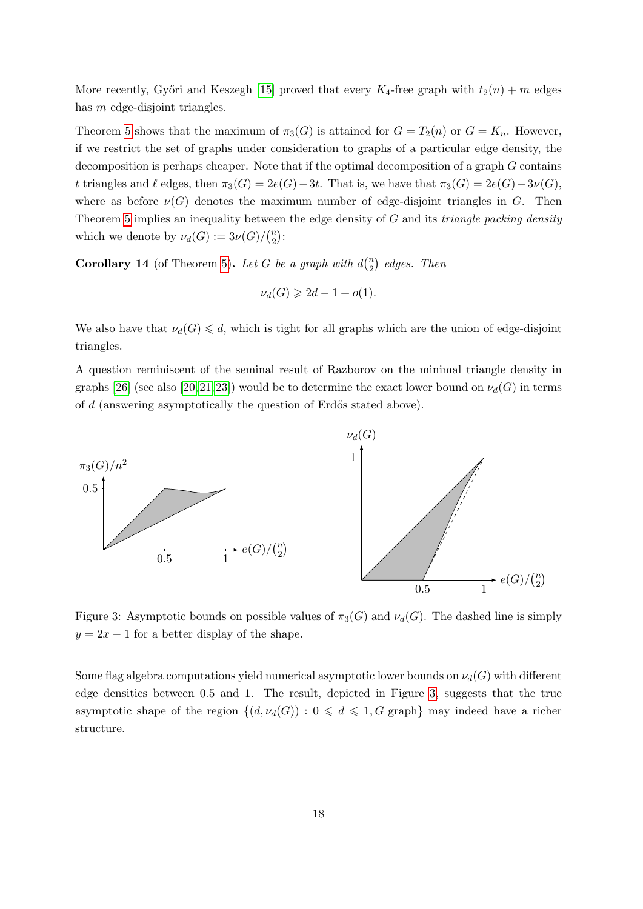More recently, Győri and Keszegh [\[15\]](#page-18-17) proved that every  $K_4$ -free graph with  $t_2(n) + m$  edges has m edge-disjoint triangles.

Theorem [5](#page-3-0) shows that the maximum of  $\pi_3(G)$  is attained for  $G = T_2(n)$  or  $G = K_n$ . However, if we restrict the set of graphs under consideration to graphs of a particular edge density, the decomposition is perhaps cheaper. Note that if the optimal decomposition of a graph G contains t triangles and  $\ell$  edges, then  $\pi_3(G) = 2e(G) - 3t$ . That is, we have that  $\pi_3(G) = 2e(G) - 3\nu(G)$ , where as before  $\nu(G)$  denotes the maximum number of edge-disjoint triangles in G. Then Theorem [5](#page-3-0) implies an inequality between the edge density of  $G$  and its *triangle packing density* which we denote by  $\nu_d(G) := 3\nu(G)/\binom{n}{2}$  $\binom{n}{2}$ :

**Corollary 14** (of Theorem [5\)](#page-3-0). Let G be a graph with  $d_n^{(n)}$  $n \choose 2$  edges. Then

$$
\nu_d(G) \geqslant 2d - 1 + o(1).
$$

We also have that  $\nu_d(G) \leq d$ , which is tight for all graphs which are the union of edge-disjoint triangles.

A question reminiscent of the seminal result of Razborov on the minimal triangle density in graphs [\[26\]](#page-19-7) (see also [\[20,](#page-19-8) [21,](#page-19-9) [23\]](#page-19-10)) would be to determine the exact lower bound on  $\nu_d(G)$  in terms of  $d$  (answering asymptotically the question of Erdős stated above).

<span id="page-17-0"></span>

Figure 3: Asymptotic bounds on possible values of  $\pi_3(G)$  and  $\nu_d(G)$ . The dashed line is simply  $y = 2x - 1$  for a better display of the shape.

Some flag algebra computations yield numerical asymptotic lower bounds on  $\nu_d(G)$  with different edge densities between 0.5 and 1. The result, depicted in Figure [3,](#page-17-0) suggests that the true asymptotic shape of the region  $\{(d, \nu_d(G)) : 0 \leq d \leq 1, G \text{ graph}\}\$  may indeed have a richer structure.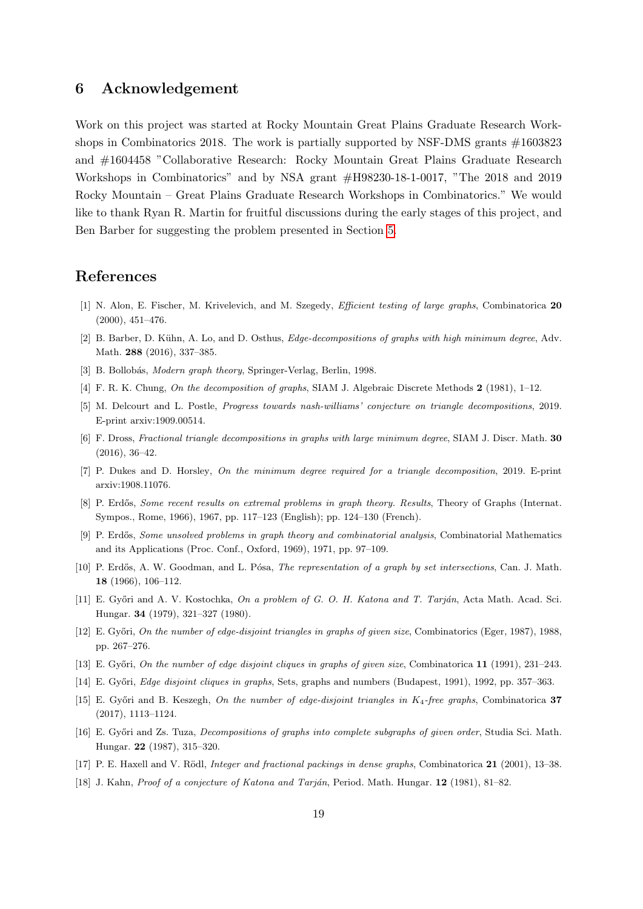### 6 Acknowledgement

Work on this project was started at Rocky Mountain Great Plains Graduate Research Workshops in Combinatorics 2018. The work is partially supported by NSF-DMS grants #1603823 and #1604458 "Collaborative Research: Rocky Mountain Great Plains Graduate Research Workshops in Combinatorics" and by NSA grant #H98230-18-1-0017, "The 2018 and 2019 Rocky Mountain – Great Plains Graduate Research Workshops in Combinatorics." We would like to thank Ryan R. Martin for fruitful discussions during the early stages of this project, and Ben Barber for suggesting the problem presented in Section [5.](#page-16-0)

## References

- <span id="page-18-11"></span>[1] N. Alon, E. Fischer, M. Krivelevich, and M. Szegedy, Efficient testing of large graphs, Combinatorica 20 (2000), 451–476.
- <span id="page-18-5"></span>[2] B. Barber, D. Kühn, A. Lo, and D. Osthus, *Edge-decompositions of graphs with high minimum degree*, Adv. Math. 288 (2016), 337–385.
- <span id="page-18-9"></span>[3] B. Bollobás, Modern graph theory, Springer-Verlag, Berlin, 1998.
- <span id="page-18-1"></span>[4] F. R. K. Chung, On the decomposition of graphs, SIAM J. Algebraic Discrete Methods 2 (1981), 1–12.
- <span id="page-18-8"></span>[5] M. Delcourt and L. Postle, Progress towards nash-williams' conjecture on triangle decompositions, 2019. E-print arxiv:1909.00514.
- <span id="page-18-6"></span>[6] F. Dross, Fractional triangle decompositions in graphs with large minimum degree, SIAM J. Discr. Math. 30 (2016), 36–42.
- <span id="page-18-7"></span>[7] P. Dukes and D. Horsley, On the minimum degree required for a triangle decomposition, 2019. E-print arxiv:1908.11076.
- <span id="page-18-12"></span>[8] P. Erdős, Some recent results on extremal problems in graph theory. Results, Theory of Graphs (Internat. Sympos., Rome, 1966), 1967, pp. 117–123 (English); pp. 124–130 (French).
- <span id="page-18-15"></span>[9] P. Erdős, Some unsolved problems in graph theory and combinatorial analysis, Combinatorial Mathematics and its Applications (Proc. Conf., Oxford, 1969), 1971, pp. 97–109.
- <span id="page-18-0"></span>[10] P. Erdős, A. W. Goodman, and L. Pósa, *The representation of a graph by set intersections*, Can. J. Math. 18 (1966), 106–112.
- <span id="page-18-2"></span>[11] E. Győri and A. V. Kostochka, On a problem of G. O. H. Katona and T. Tarján, Acta Math. Acad. Sci. Hungar. 34 (1979), 321–327 (1980).
- <span id="page-18-13"></span>[12] E. Győri, On the number of edge-disjoint triangles in graphs of given size, Combinatorics (Eger, 1987), 1988, pp. 267–276.
- <span id="page-18-14"></span>[13] E. Győri, On the number of edge disjoint cliques in graphs of given size, Combinatorica 11 (1991), 231–243.
- <span id="page-18-16"></span>[14] E. Győri, *Edge disjoint cliques in graphs*, Sets, graphs and numbers (Budapest, 1991), 1992, pp. 357–363.
- <span id="page-18-17"></span>[15] E. Győri and B. Keszegh, On the number of edge-disjoint triangles in  $K_4$ -free graphs, Combinatorica 37 (2017), 1113–1124.
- <span id="page-18-4"></span>[16] E. Győri and Zs. Tuza, *Decompositions of graphs into complete subgraphs of given order*, Studia Sci. Math. Hungar. 22 (1987), 315–320.
- <span id="page-18-10"></span>[17] P. E. Haxell and V. Rödl, *Integer and fractional packings in dense graphs*, Combinatorica 21 (2001), 13–38.
- <span id="page-18-3"></span>[18] J. Kahn, Proof of a conjecture of Katona and Tarján, Period. Math. Hungar. 12 (1981), 81–82.